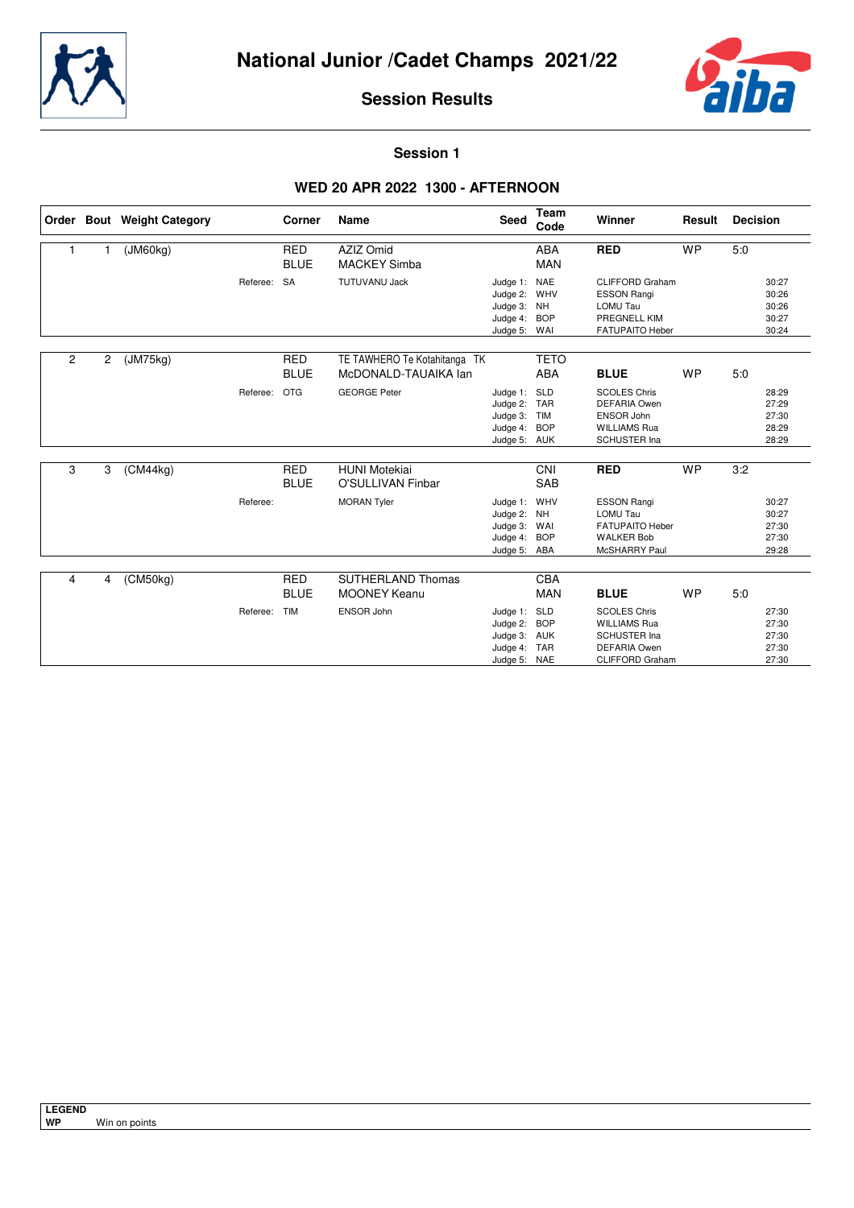



**Session 1**

## **WED 20 APR 2022 1300 - AFTERNOON**

|   |   | Order Bout Weight Category |             | Corner                    | <b>Name</b>                                          | <b>Seed</b>                                                              | Team<br>Code              | Winner                                                                                                             | Result    | <b>Decision</b>                           |  |
|---|---|----------------------------|-------------|---------------------------|------------------------------------------------------|--------------------------------------------------------------------------|---------------------------|--------------------------------------------------------------------------------------------------------------------|-----------|-------------------------------------------|--|
| 1 | 1 | (JM60kg)                   |             | <b>RED</b><br><b>BLUE</b> | AZIZ Omid<br><b>MACKEY Simba</b>                     |                                                                          | <b>ABA</b><br><b>MAN</b>  | <b>RED</b>                                                                                                         | <b>WP</b> | 5:0                                       |  |
|   |   |                            | Referee: SA |                           | <b>TUTUVANU Jack</b>                                 | Judge 1: NAE<br>Judge 2: WHV<br>Judge 3: NH<br>Judge 4:<br>Judge 5: WAI  | <b>BOP</b>                | <b>CLIFFORD Graham</b><br><b>ESSON Rangi</b><br>LOMU Tau<br>PREGNELL KIM<br><b>FATUPAITO Heber</b>                 |           | 30:27<br>30:26<br>30:26<br>30:27<br>30:24 |  |
| 2 | 2 | (JM75kg)                   |             | <b>RED</b><br><b>BLUE</b> | TE TAWHERO Te Kotahitanga TK<br>McDONALD-TAUAIKA lan |                                                                          | <b>TETO</b><br><b>ABA</b> | <b>BLUE</b>                                                                                                        | <b>WP</b> | 5.0                                       |  |
|   |   |                            | Referee:    | <b>OTG</b>                | <b>GEORGE Peter</b>                                  | Judge 1:<br>Judge 2: TAR<br>Judge 3: TIM<br>Judge 4: BOP<br>Judge 5: AUK | <b>SLD</b>                | <b>SCOLES Chris</b><br><b>DEFARIA Owen</b><br><b>ENSOR John</b><br><b>WILLIAMS Rua</b><br><b>SCHUSTER Ina</b>      |           | 28:29<br>27:29<br>27:30<br>28:29<br>28:29 |  |
| 3 | 3 | (CM44ka)                   |             | <b>RED</b><br><b>BLUE</b> | <b>HUNI Motekiai</b><br><b>O'SULLIVAN Finbar</b>     |                                                                          | CNI<br><b>SAB</b>         | <b>RED</b>                                                                                                         | <b>WP</b> | 3:2                                       |  |
|   |   |                            | Referee:    |                           | <b>MORAN Tyler</b>                                   | Judge 1: WHV<br>Judge 2: NH<br>Judge 3: WAI<br>Judge 4:<br>Judge 5: ABA  | <b>BOP</b>                | <b>ESSON Rangi</b><br><b>LOMU Tau</b><br><b>FATUPAITO Heber</b><br><b>WALKER Bob</b><br>McSHARRY Paul              |           | 30:27<br>30:27<br>27:30<br>27:30<br>29:28 |  |
| 4 | 4 | (CM50kg)                   |             | <b>RED</b><br><b>BLUE</b> | <b>SUTHERLAND Thomas</b><br><b>MOONEY Keanu</b>      |                                                                          | CBA<br><b>MAN</b>         | <b>BLUE</b>                                                                                                        | <b>WP</b> | 5.0                                       |  |
|   |   |                            | Referee:    | <b>TIM</b>                | ENSOR John                                           | Judge 1: SLD<br>Judge 2:<br>Judge 3: AUK<br>Judge 4:<br>Judge 5: NAE     | <b>BOP</b><br><b>TAR</b>  | <b>SCOLES Chris</b><br><b>WILLIAMS Rua</b><br><b>SCHUSTER Ina</b><br><b>DEFARIA Owen</b><br><b>CLIFFORD Graham</b> |           | 27:30<br>27:30<br>27:30<br>27:30<br>27:30 |  |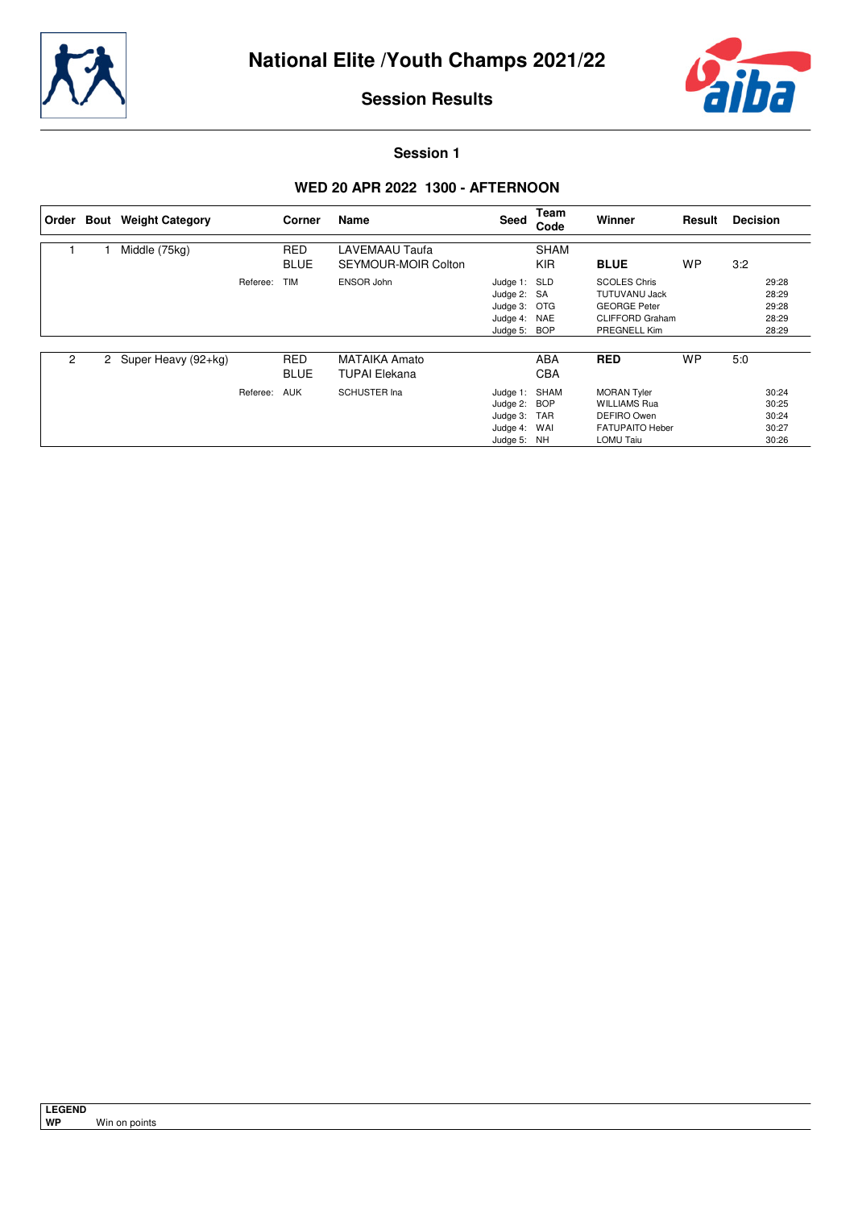



**Session 1**

## **WED 20 APR 2022 1300 - AFTERNOON**

| ∣ Order        | <b>Bout</b> Weight Category |          | Corner                    | Name                                         | Seed                                                                        | Team<br>Code              | Winner                                                                                                       | Result    | <b>Decision</b> |                                           |
|----------------|-----------------------------|----------|---------------------------|----------------------------------------------|-----------------------------------------------------------------------------|---------------------------|--------------------------------------------------------------------------------------------------------------|-----------|-----------------|-------------------------------------------|
|                | Middle (75kg)               |          | <b>RED</b><br><b>BLUE</b> | LAVEMAAU Taufa<br>SEYMOUR-MOIR Colton        |                                                                             | <b>SHAM</b><br><b>KIR</b> | <b>BLUE</b>                                                                                                  | <b>WP</b> | 3:2             |                                           |
|                |                             | Referee: | <b>TIM</b>                | ENSOR John                                   | Judge 1: SLD<br>Judge 2: SA<br>Judge 3: OTG<br>Judge 4: NAE<br>Judge 5: BOP |                           | <b>SCOLES Chris</b><br><b>TUTUVANU Jack</b><br><b>GEORGE Peter</b><br><b>CLIFFORD Graham</b><br>PREGNELL Kim |           |                 | 29:28<br>28:29<br>29:28<br>28:29<br>28:29 |
| $\overline{2}$ | 2 Super Heavy (92+kg)       |          | <b>RED</b><br><b>BLUE</b> | <b>MATAIKA Amato</b><br><b>TUPAI Elekana</b> |                                                                             | ABA<br><b>CBA</b>         | <b>RED</b>                                                                                                   | <b>WP</b> | 5:0             |                                           |
|                |                             | Referee: | <b>AUK</b>                | <b>SCHUSTER Ina</b>                          | Judge 1:<br>Judge 2: BOP<br>Judge 3:<br>Judge 4: WAI<br>Judge 5: NH         | SHAM<br><b>TAR</b>        | <b>MORAN Tyler</b><br><b>WILLIAMS Rua</b><br>DEFIRO Owen<br><b>FATUPAITO Heber</b><br>LOMU Taiu              |           |                 | 30:24<br>30:25<br>30:24<br>30:27<br>30:26 |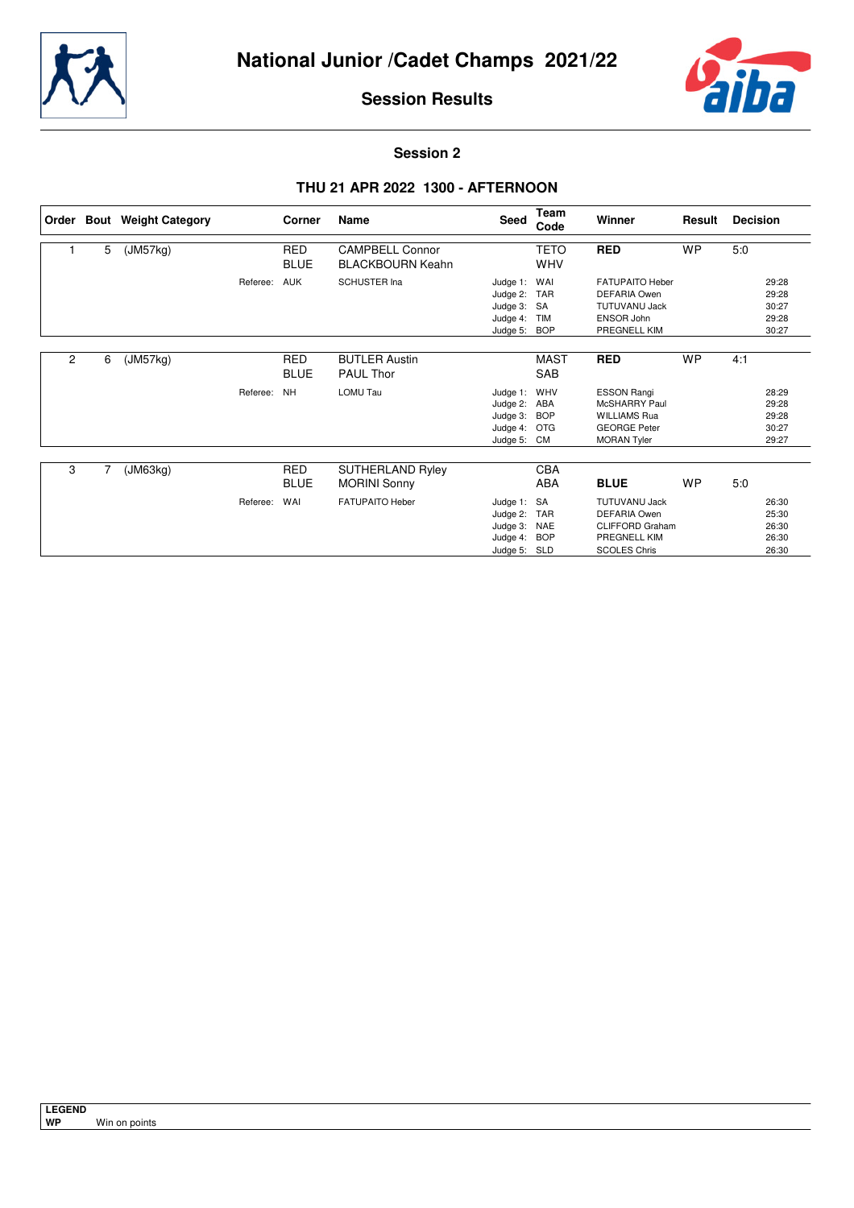



**Session 2**

## **THU 21 APR 2022 1300 - AFTERNOON**

|   |   | Order Bout Weight Category |          | Corner                    | Name                                              | Seed                                                                | Team<br>Code                                        | <b>Winner</b>                                                                                                | Result    | <b>Decision</b>                           |
|---|---|----------------------------|----------|---------------------------|---------------------------------------------------|---------------------------------------------------------------------|-----------------------------------------------------|--------------------------------------------------------------------------------------------------------------|-----------|-------------------------------------------|
|   | 5 | (JM57kg)                   |          | RED<br><b>BLUE</b>        | <b>CAMPBELL Connor</b><br><b>BLACKBOURN Keahn</b> |                                                                     | <b>TETO</b><br><b>WHV</b>                           | <b>RED</b>                                                                                                   | <b>WP</b> | 5:0                                       |
|   |   |                            | Referee: | AUK                       | <b>SCHUSTER Ina</b>                               | Judge 1:<br>Judge 2:<br>Judge 3:<br>Judge 4:<br>Judge 5:            | WAI<br><b>TAR</b><br>SA<br><b>TIM</b><br><b>BOP</b> | <b>FATUPAITO Heber</b><br><b>DEFARIA Owen</b><br><b>TUTUVANU Jack</b><br><b>ENSOR John</b><br>PREGNELL KIM   |           | 29:28<br>29:28<br>30:27<br>29:28<br>30:27 |
| 2 | 6 | (JM57kg)                   |          | <b>RED</b><br><b>BLUE</b> | <b>BUTLER Austin</b><br><b>PAUL Thor</b>          |                                                                     | <b>MAST</b><br>SAB                                  | <b>RED</b>                                                                                                   | <b>WP</b> | 4:1                                       |
|   |   |                            | Referee: | <b>NH</b>                 | <b>LOMU Tau</b>                                   | Judge 1: WHV<br>Judge 2:<br>Judge 3:<br>Judge 4: OTG<br>Judge 5: CM | ABA<br><b>BOP</b>                                   | <b>ESSON Rangi</b><br>McSHARRY Paul<br><b>WILLIAMS Rua</b><br><b>GEORGE Peter</b><br><b>MORAN Tyler</b>      |           | 28:29<br>29:28<br>29:28<br>30:27<br>29:27 |
| 3 | 7 | (JM63kg)                   |          | <b>RED</b><br><b>BLUE</b> | <b>SUTHERLAND Ryley</b><br><b>MORINI Sonny</b>    |                                                                     | CBA<br>ABA                                          | <b>BLUE</b>                                                                                                  | WP        | 5:0                                       |
|   |   |                            | Referee: | WAI                       | <b>FATUPAITO Heber</b>                            | Judge 1: SA<br>Judge 2:<br>Judge 3:<br>Judge 4:<br>Judge 5: SLD     | <b>TAR</b><br><b>NAE</b><br><b>BOP</b>              | <b>TUTUVANU Jack</b><br><b>DEFARIA Owen</b><br><b>CLIFFORD Graham</b><br>PREGNELL KIM<br><b>SCOLES Chris</b> |           | 26:30<br>25:30<br>26:30<br>26:30<br>26:30 |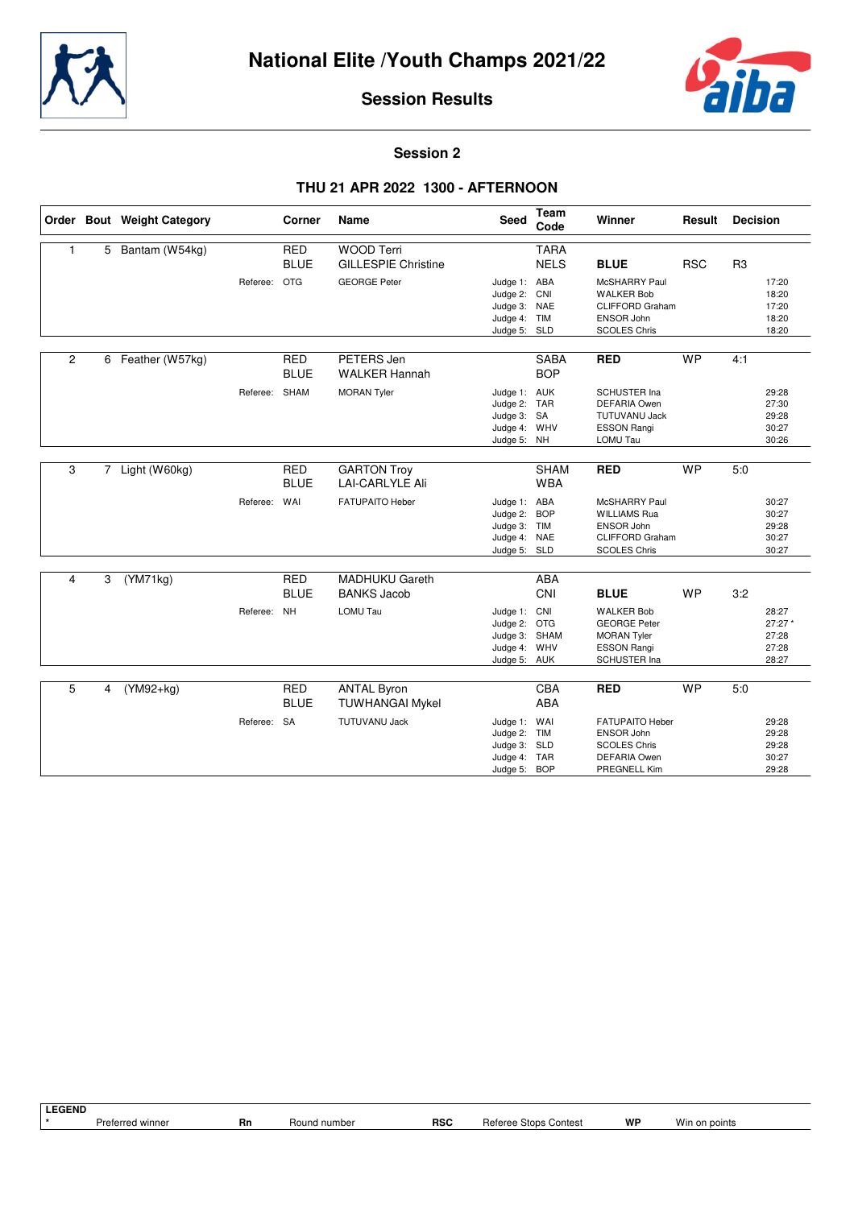



#### **Session 2**

#### **THU 21 APR 2022 1300 - AFTERNOON**

|                |   | Order Bout Weight Category |               | Corner                    | <b>Name</b>                                     | <b>Seed</b>                                                                   | Team<br>Code               | Winner                                                                                                      | Result     | <b>Decision</b> |                                             |
|----------------|---|----------------------------|---------------|---------------------------|-------------------------------------------------|-------------------------------------------------------------------------------|----------------------------|-------------------------------------------------------------------------------------------------------------|------------|-----------------|---------------------------------------------|
| 1              | 5 | Bantam (W54kg)             |               | <b>RED</b><br><b>BLUE</b> | <b>WOOD Terri</b><br><b>GILLESPIE Christine</b> |                                                                               | <b>TARA</b><br><b>NELS</b> | <b>BLUE</b>                                                                                                 | <b>RSC</b> | R <sub>3</sub>  |                                             |
|                |   |                            | Referee: OTG  |                           | <b>GEORGE Peter</b>                             | Judge 1: ABA<br>Judge 2: CNI<br>Judge 3: NAE<br>Judge 4: TIM<br>Judge 5: SLD  |                            | McSHARRY Paul<br><b>WALKER Bob</b><br><b>CLIFFORD Graham</b><br><b>ENSOR John</b><br><b>SCOLES Chris</b>    |            |                 | 17:20<br>18:20<br>17:20<br>18:20<br>18:20   |
| $\overline{2}$ |   | 6 Feather (W57kg)          |               | <b>RED</b><br><b>BLUE</b> | PETERS Jen<br><b>WALKER Hannah</b>              |                                                                               | <b>SABA</b><br><b>BOP</b>  | <b>RED</b>                                                                                                  | <b>WP</b>  | 4:1             |                                             |
|                |   |                            | Referee: SHAM |                           | <b>MORAN Tyler</b>                              | Judge 1: AUK<br>Judge 2: TAR<br>Judge 3: SA<br>Judge 4: WHV<br>Judge 5: NH    |                            | <b>SCHUSTER Ina</b><br><b>DEFARIA Owen</b><br><b>TUTUVANU Jack</b><br><b>ESSON Rangi</b><br>LOMU Tau        |            |                 | 29:28<br>27:30<br>29:28<br>30:27<br>30:26   |
| 3              |   | 7 Light (W60kg)            |               | <b>RED</b><br><b>BLUE</b> | <b>GARTON Troy</b><br><b>LAI-CARLYLE Ali</b>    |                                                                               | <b>SHAM</b><br><b>WBA</b>  | <b>RED</b>                                                                                                  | <b>WP</b>  | 5.0             |                                             |
|                |   |                            | Referee:      | WAI                       | <b>FATUPAITO Heber</b>                          | Judge 1: ABA<br>Judge 2: BOP<br>Judge 3: TIM<br>Judge 4: NAE<br>Judge 5: SLD  |                            | McSHARRY Paul<br><b>WILLIAMS Rua</b><br><b>ENSOR John</b><br><b>CLIFFORD Graham</b><br><b>SCOLES Chris</b>  |            |                 | 30:27<br>30:27<br>29:28<br>30:27<br>30:27   |
| 4              | 3 | (YM71kg)                   |               | <b>RED</b><br><b>BLUE</b> | <b>MADHUKU Gareth</b><br><b>BANKS Jacob</b>     |                                                                               | <b>ABA</b><br>CNI          | <b>BLUE</b>                                                                                                 | <b>WP</b>  | 3:2             |                                             |
|                |   |                            | Referee: NH   |                           | LOMU Tau                                        | Judge 1: CNI<br>Judge 2: OTG<br>Judge 3: SHAM<br>Judge 4: WHV<br>Judge 5: AUK |                            | <b>WALKER Bob</b><br><b>GEORGE Peter</b><br><b>MORAN Tyler</b><br><b>ESSON Rangi</b><br><b>SCHUSTER Ina</b> |            |                 | 28:27<br>27:27 *<br>27:28<br>27:28<br>28:27 |
| 5              | 4 | (YM92+kg)                  |               | <b>RED</b><br><b>BLUE</b> | <b>ANTAL Byron</b><br><b>TUWHANGAI Mykel</b>    |                                                                               | <b>CBA</b><br><b>ABA</b>   | <b>RED</b>                                                                                                  | <b>WP</b>  | 5.0             |                                             |
|                |   |                            | Referee: SA   |                           | <b>TUTUVANU Jack</b>                            | Judge 1: WAI<br>Judge 2:<br>Judge 3: SLD<br>Judge 4: TAR                      | <b>TIM</b>                 | <b>FATUPAITO Heber</b><br>ENSOR John<br><b>SCOLES Chris</b><br><b>DEFARIA Owen</b>                          |            |                 | 29:28<br>29:28<br>29:28<br>30:27            |
|                |   |                            |               |                           |                                                 | Judge 5: BOP                                                                  |                            | PREGNELL Kim                                                                                                |            |                 | 29:28                                       |

**LEGEND**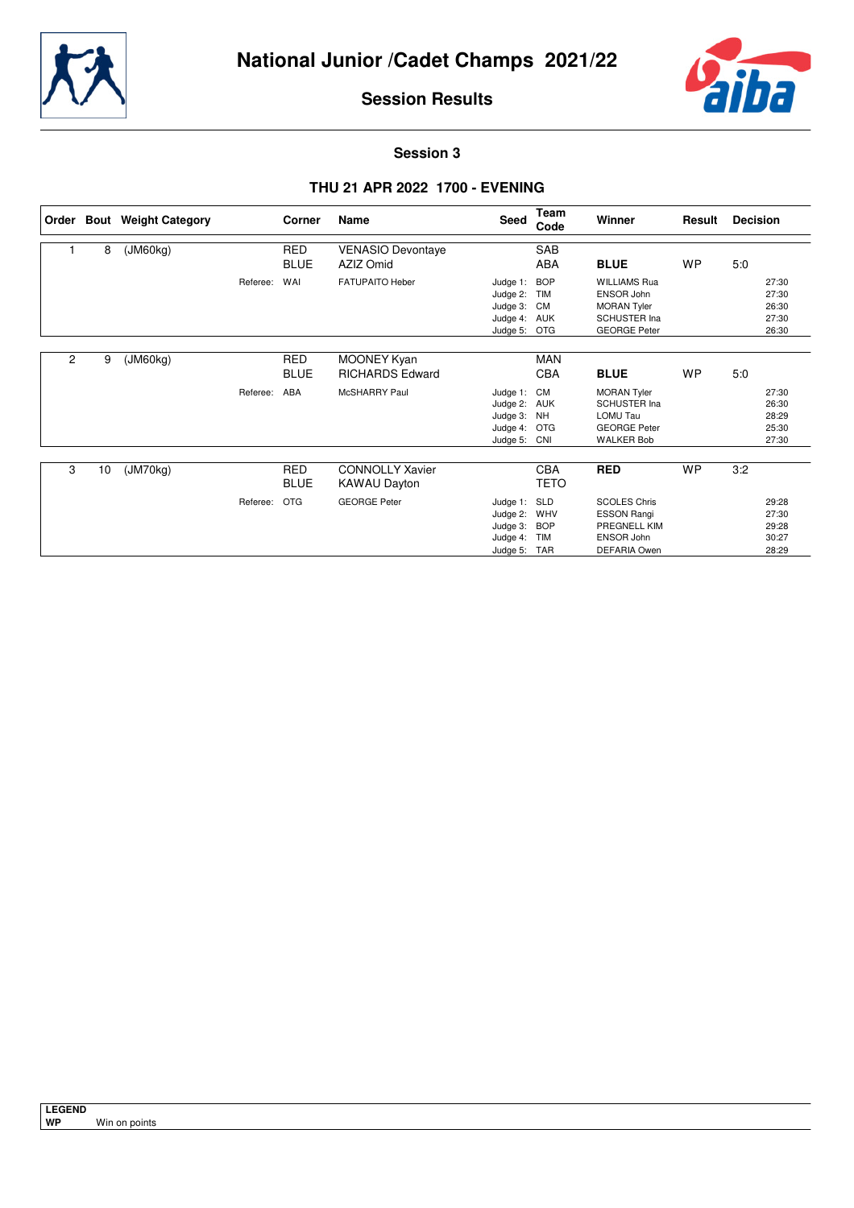



**Session 3**

## **THU 21 APR 2022 1700 - EVENING**

|                |    | Order Bout Weight Category |          | Corner                    | Name                                          | <b>Seed</b>                                                        | Team<br>Code                                  | Winner                                                                                                       | Result    | <b>Decision</b>                           |
|----------------|----|----------------------------|----------|---------------------------|-----------------------------------------------|--------------------------------------------------------------------|-----------------------------------------------|--------------------------------------------------------------------------------------------------------------|-----------|-------------------------------------------|
|                | 8  | (JM60kg)                   |          | <b>RED</b><br><b>BLUE</b> | <b>VENASIO Devontaye</b><br>AZIZ Omid         |                                                                    | SAB<br><b>ABA</b>                             | <b>BLUE</b>                                                                                                  | <b>WP</b> | 5:0                                       |
|                |    |                            | Referee: | WAI                       | <b>FATUPAITO Heber</b>                        | Judge 1:<br>Judge 2:<br>Judge 3:<br>Judge 4:<br>Judge 5:           | <b>BOP</b><br>TIM<br>CM<br>AUK<br><b>OTG</b>  | <b>WILLIAMS Rua</b><br><b>ENSOR John</b><br><b>MORAN Tyler</b><br><b>SCHUSTER Ina</b><br><b>GEORGE Peter</b> |           | 27:30<br>27:30<br>26:30<br>27:30<br>26:30 |
| $\overline{2}$ | 9  | (JM60kg)                   |          | <b>RED</b><br><b>BLUE</b> | MOONEY Kyan<br><b>RICHARDS Edward</b>         |                                                                    | <b>MAN</b><br><b>CBA</b>                      | <b>BLUE</b>                                                                                                  | <b>WP</b> | 5:0                                       |
|                |    |                            | Referee: | ABA                       | <b>McSHARRY Paul</b>                          | Judge 1: CM<br>Judge 2:<br>Judge 3: NH<br>Judge 4:<br>Judge 5: CNI | AUK<br><b>OTG</b>                             | <b>MORAN Tyler</b><br><b>SCHUSTER Ina</b><br><b>LOMU Tau</b><br><b>GEORGE Peter</b><br><b>WALKER Bob</b>     |           | 27:30<br>26:30<br>28:29<br>25:30<br>27:30 |
| 3              | 10 | (JM70kg)                   |          | <b>RED</b><br><b>BLUE</b> | <b>CONNOLLY Xavier</b><br><b>KAWAU Dayton</b> |                                                                    | <b>CBA</b><br><b>TETO</b>                     | <b>RED</b>                                                                                                   | <b>WP</b> | 3:2                                       |
|                |    |                            | Referee: | <b>OTG</b>                | <b>GEORGE Peter</b>                           | Judge 1: SLD<br>Judge 2:<br>Judge 3:<br>Judge 4:<br>Judge 5:       | WHV<br><b>BOP</b><br><b>TIM</b><br><b>TAR</b> | <b>SCOLES Chris</b><br><b>ESSON Rangi</b><br>PREGNELL KIM<br><b>ENSOR John</b><br><b>DEFARIA Owen</b>        |           | 29:28<br>27:30<br>29:28<br>30:27<br>28:29 |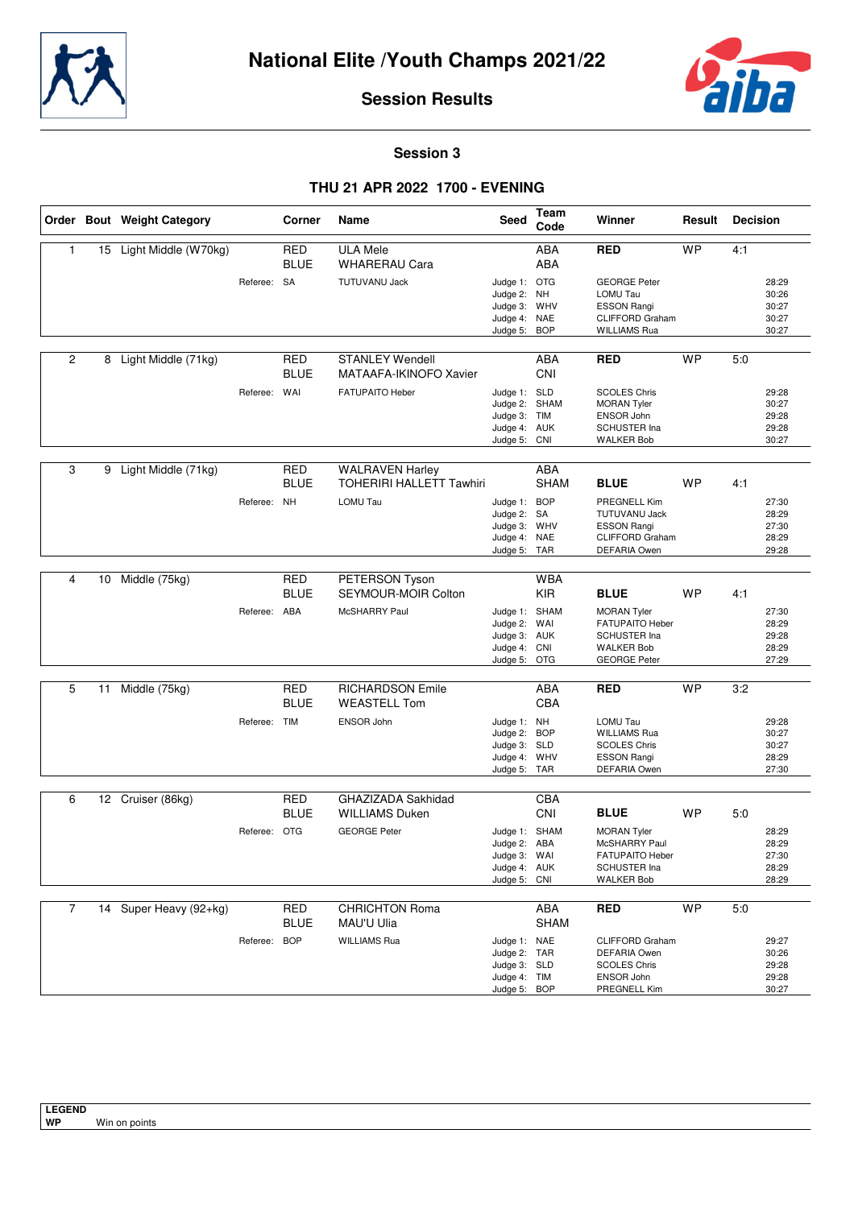



**Session 3**

## **THU 21 APR 2022 1700 - EVENING**

|                |    | Order Bout Weight Category |              | Corner                    | Name                                               | Seed                                                                          | Team<br>Code              | Winner                                                                                                                     | Result    | <b>Decision</b>                                  |
|----------------|----|----------------------------|--------------|---------------------------|----------------------------------------------------|-------------------------------------------------------------------------------|---------------------------|----------------------------------------------------------------------------------------------------------------------------|-----------|--------------------------------------------------|
| 1              |    | 15 Light Middle (W70kg)    |              | <b>RED</b><br><b>BLUE</b> | <b>ULA Mele</b><br><b>WHARERAU Cara</b>            |                                                                               | <b>ABA</b><br><b>ABA</b>  | <b>RED</b>                                                                                                                 | <b>WP</b> | 4:1                                              |
|                |    |                            | Referee: SA  |                           | <b>TUTUVANU Jack</b>                               | Judge 1: OTG<br>Judge 2: NH<br>Judge 3: WHV<br>Judge 4: NAE<br>Judge 5:       | <b>BOP</b>                | <b>GEORGE Peter</b><br>LOMU Tau<br><b>ESSON Rangi</b><br><b>CLIFFORD Graham</b><br><b>WILLIAMS Rua</b>                     |           | 28:29<br>30:26<br>30:27<br>30:27<br>30:27        |
| $\overline{2}$ | 8  | Light Middle (71kg)        |              | RED<br><b>BLUE</b>        | <b>STANLEY Wendell</b><br>MATAAFA-IKINOFO Xavier   |                                                                               | ABA<br><b>CNI</b>         | <b>RED</b>                                                                                                                 | <b>WP</b> | 5:0                                              |
|                |    |                            | Referee: WAI |                           | <b>FATUPAITO Heber</b>                             | Judge 1: SLD<br>Judge 2: SHAM<br>Judge 3: TIM<br>Judge 4: AUK<br>Judge 5: CNI |                           | <b>SCOLES Chris</b><br><b>MORAN Tyler</b><br><b>ENSOR John</b><br>SCHUSTER Ina<br><b>WALKER Bob</b>                        |           | 29:28<br>30:27<br>29:28<br>29:28<br>30:27        |
| 3              | 9  | Light Middle (71kg)        |              | RED                       | <b>WALRAVEN Harley</b>                             |                                                                               | <b>ABA</b>                |                                                                                                                            |           |                                                  |
|                |    |                            | Referee:     | <b>BLUE</b><br><b>NH</b>  | <b>TOHERIRI HALLETT Tawhiri</b><br><b>LOMU Tau</b> | Judge 1: BOP<br>Judge 2: SA<br>Judge 3: WHV<br>Judge 4:<br>Judge 5: TAR       | <b>SHAM</b><br><b>NAE</b> | <b>BLUE</b><br><b>PREGNELL Kim</b><br><b>TUTUVANU Jack</b><br><b>ESSON Rangi</b><br>CLIFFORD Graham<br><b>DEFARIA Owen</b> | <b>WP</b> | 4:1<br>27:30<br>28:29<br>27:30<br>28:29<br>29:28 |
| 4              | 10 | Middle (75kg)              |              | <b>RED</b>                | PETERSON Tyson                                     |                                                                               | <b>WBA</b>                |                                                                                                                            |           |                                                  |
|                |    |                            |              | <b>BLUE</b>               | SEYMOUR-MOIR Colton                                |                                                                               | <b>KIR</b>                | <b>BLUE</b>                                                                                                                | <b>WP</b> | 4:1                                              |
|                |    |                            | Referee: ABA |                           | <b>McSHARRY Paul</b>                               | Judge 1: SHAM<br>Judge 2: WAI<br>Judge 3: AUK<br>Judge 4: CNI<br>Judge 5: OTG |                           | <b>MORAN Tyler</b><br><b>FATUPAITO Heber</b><br><b>SCHUSTER Ina</b><br><b>WALKER Bob</b><br><b>GEORGE Peter</b>            |           | 27:30<br>28:29<br>29:28<br>28:29<br>27:29        |
| 5              | 11 | Middle (75kg)              |              | <b>RED</b><br><b>BLUE</b> | <b>RICHARDSON Emile</b><br><b>WEASTELL Tom</b>     |                                                                               | <b>ABA</b><br>CBA         | <b>RED</b>                                                                                                                 | <b>WP</b> | 3:2                                              |
|                |    |                            | Referee: TIM |                           | ENSOR John                                         | Judge 1: NH<br>Judge 2: BOP<br>Judge 3: SLD<br>Judge 4: WHV<br>Judge 5: TAR   |                           | LOMU Tau<br><b>WILLIAMS Rua</b><br><b>SCOLES Chris</b><br><b>ESSON Rangi</b><br><b>DEFARIA Owen</b>                        |           | 29:28<br>30:27<br>30:27<br>28:29<br>27:30        |
| 6              |    | 12 Cruiser (86kg)          |              | <b>RED</b>                | GHAZIZADA Sakhidad                                 |                                                                               | CBA                       |                                                                                                                            |           |                                                  |
|                |    |                            |              | <b>BLUE</b>               | <b>WILLIAMS Duken</b>                              |                                                                               | CNI                       | <b>BLUE</b>                                                                                                                | <b>WP</b> | 5:0                                              |
|                |    |                            | Referee: OTG |                           | <b>GEORGE Peter</b>                                | Judge 1: SHAM<br>Judge 2: ABA<br>Judge 3: WAI<br>Judge 4: AUK<br>Judge 5: CNI |                           | <b>MORAN Tyler</b><br>McSHARRY Paul<br>FATUPAITO Heber<br>SCHUSTER Ina<br><b>WALKER Bob</b>                                |           | 28:29<br>28:29<br>27:30<br>28:29<br>28:29        |
| $\overline{7}$ |    | 14 Super Heavy (92+kg)     |              | RED<br><b>BLUE</b>        | <b>CHRICHTON Roma</b>                              |                                                                               | ABA                       | <b>RED</b>                                                                                                                 | <b>WP</b> | 5:0                                              |
|                |    |                            | Referee:     | <b>BOP</b>                | MAU'U Ulia<br><b>WILLIAMS Rua</b>                  | Judge 1: NAE<br>Judge 2: TAR<br>Judge 3: SLD<br>Judge 4: TIM<br>Judge 5: BOP  | <b>SHAM</b>               | <b>CLIFFORD Graham</b><br><b>DEFARIA Owen</b><br><b>SCOLES Chris</b><br>ENSOR John<br>PREGNELL Kim                         |           | 29:27<br>30:26<br>29:28<br>29:28<br>30:27        |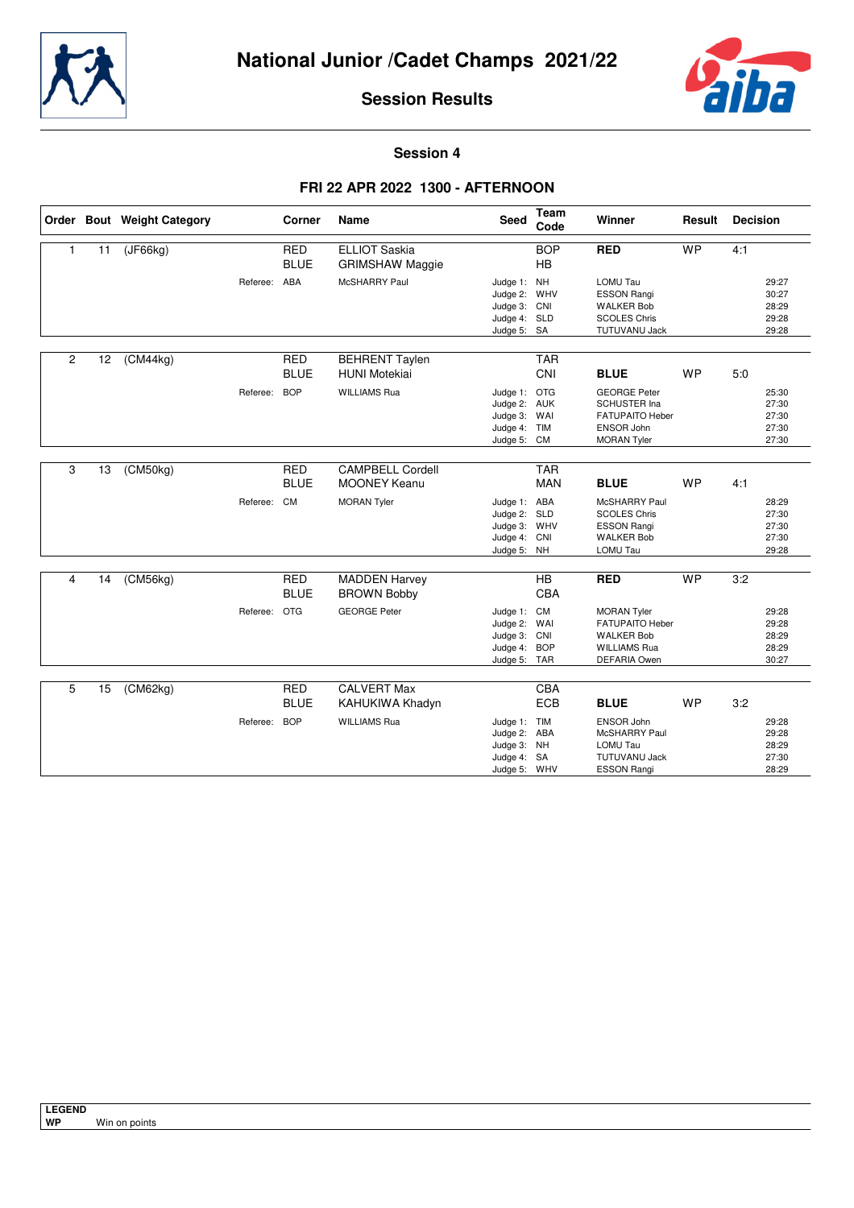



**Session 4**

## **FRI 22 APR 2022 1300 - AFTERNOON**

|                |    | Order Bout Weight Category |              | <b>Corner</b>             | Name                                           | <b>Seed</b>                                                                 | Team<br>Code             | Winner                                                                                                          | Result    | <b>Decision</b>                           |
|----------------|----|----------------------------|--------------|---------------------------|------------------------------------------------|-----------------------------------------------------------------------------|--------------------------|-----------------------------------------------------------------------------------------------------------------|-----------|-------------------------------------------|
| $\mathbf{1}$   | 11 | (JF66kg)                   |              | <b>RED</b><br><b>BLUE</b> | <b>ELLIOT Saskia</b><br><b>GRIMSHAW Maggie</b> |                                                                             | <b>BOP</b><br><b>HB</b>  | <b>RED</b>                                                                                                      | <b>WP</b> | 4:1                                       |
|                |    |                            | Referee: ABA |                           | McSHARRY Paul                                  | Judge 1: NH<br>Judge 2: WHV<br>Judge 3: CNI<br>Judge 4: SLD<br>Judge 5: SA  |                          | <b>LOMU Tau</b><br><b>ESSON Rangi</b><br><b>WALKER Bob</b><br><b>SCOLES Chris</b><br><b>TUTUVANU Jack</b>       |           | 29:27<br>30:27<br>28:29<br>29:28<br>29:28 |
| $\overline{2}$ | 12 | (CM44kg)                   |              | <b>RED</b><br><b>BLUE</b> | <b>BEHRENT Taylen</b><br><b>HUNI Motekiai</b>  |                                                                             | <b>TAR</b><br>CNI        | <b>BLUE</b>                                                                                                     | <b>WP</b> | 5.0                                       |
|                |    |                            | Referee:     | <b>BOP</b>                | <b>WILLIAMS Rua</b>                            | Judge 1: OTG<br>Judge 2: AUK<br>Judge 3: WAI<br>Judge 4: TIM<br>Judge 5: CM |                          | <b>GEORGE Peter</b><br><b>SCHUSTER Ina</b><br><b>FATUPAITO Heber</b><br><b>ENSOR John</b><br><b>MORAN Tyler</b> |           | 25:30<br>27:30<br>27:30<br>27:30<br>27:30 |
| 3              | 13 | (CM50kg)                   |              | <b>RED</b><br><b>BLUE</b> | <b>CAMPBELL Cordell</b><br><b>MOONEY Keanu</b> |                                                                             | <b>TAR</b><br><b>MAN</b> | <b>BLUE</b>                                                                                                     | <b>WP</b> | 4:1                                       |
|                |    |                            | Referee: CM  |                           | <b>MORAN Tyler</b>                             | Judge 1: ABA<br>Judge 2: SLD<br>Judge 3: WHV<br>Judge 4: CNI<br>Judge 5: NH |                          | McSHARRY Paul<br><b>SCOLES Chris</b><br><b>ESSON Rangi</b><br><b>WALKER Bob</b><br>LOMU Tau                     |           | 28:29<br>27:30<br>27:30<br>27:30<br>29:28 |
| 4              | 14 | (CM56kg)                   |              | <b>RED</b><br><b>BLUE</b> | <b>MADDEN Harvey</b><br><b>BROWN Bobby</b>     |                                                                             | <b>HB</b><br><b>CBA</b>  | <b>RED</b>                                                                                                      | <b>WP</b> | 3:2                                       |
|                |    |                            | Referee: OTG |                           | <b>GEORGE Peter</b>                            | Judge 1: CM<br>Judge 2: WAI<br>Judge 3: CNI<br>Judge 4: BOP<br>Judge 5: TAR |                          | <b>MORAN Tyler</b><br><b>FATUPAITO Heber</b><br><b>WALKER Bob</b><br><b>WILLIAMS Rua</b><br><b>DEFARIA Owen</b> |           | 29:28<br>29:28<br>28:29<br>28:29<br>30:27 |
| 5              | 15 | (CM62kg)                   |              | <b>RED</b><br><b>BLUE</b> | <b>CALVERT Max</b><br>KAHUKIWA Khadyn          |                                                                             | CBA<br><b>ECB</b>        | <b>BLUE</b>                                                                                                     | <b>WP</b> | 3:2                                       |
|                |    |                            | Referee:     | <b>BOP</b>                | <b>WILLIAMS Rua</b>                            | Judge 1: TIM<br>Judge 2: ABA<br>Judge 3: NH<br>Judge 4: SA<br>Judge 5: WHV  |                          | <b>ENSOR John</b><br>McSHARRY Paul<br><b>LOMU Tau</b><br><b>TUTUVANU Jack</b><br><b>ESSON Rangi</b>             |           | 29:28<br>29:28<br>28:29<br>27:30<br>28:29 |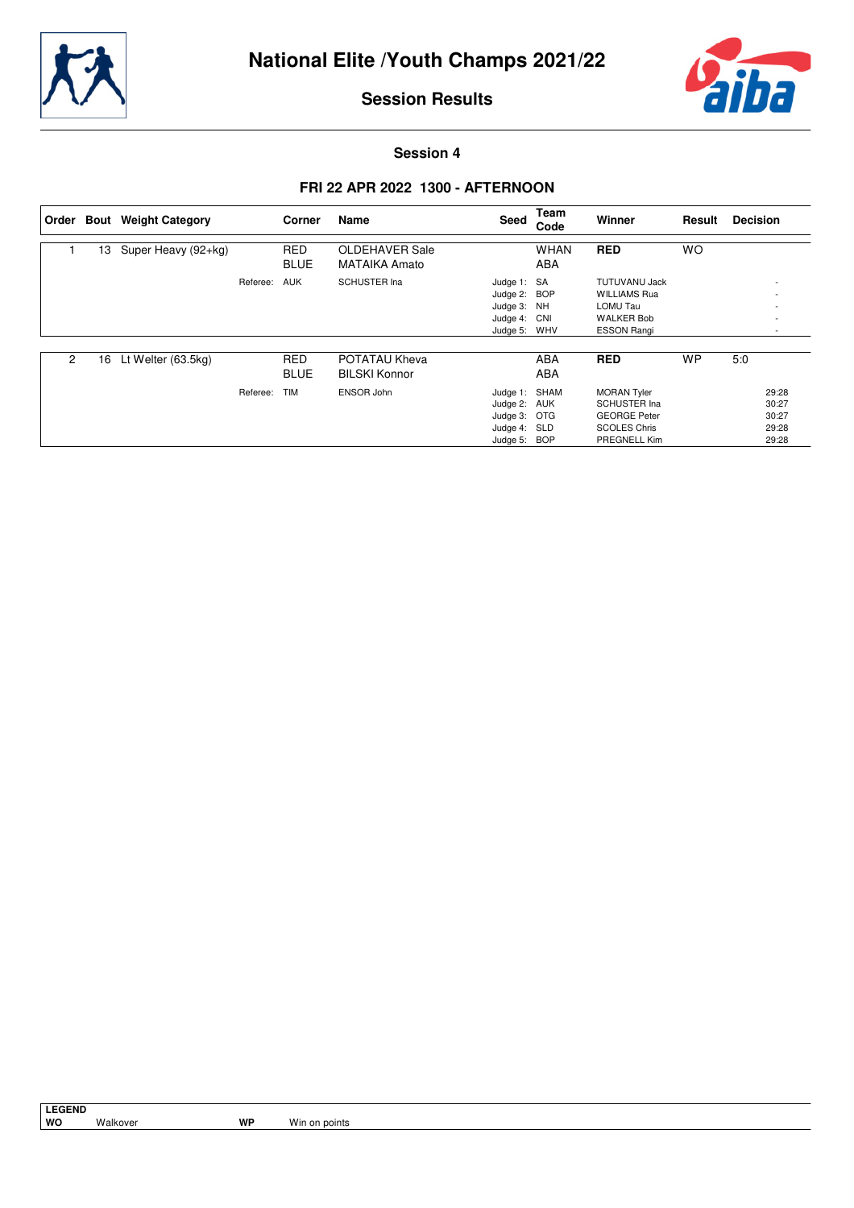



**Session 4**

## **FRI 22 APR 2022 1300 - AFTERNOON**

| ∣ Order |    | <b>Bout</b> Weight Category |          | Corner                    | Name                                   | Seed                                                                          | Team<br>Code              | Winner                                                                                                  | Result    | <b>Decision</b>                           |
|---------|----|-----------------------------|----------|---------------------------|----------------------------------------|-------------------------------------------------------------------------------|---------------------------|---------------------------------------------------------------------------------------------------------|-----------|-------------------------------------------|
|         | 13 | Super Heavy (92+kg)         |          | <b>RED</b><br><b>BLUE</b> | OLDEHAVER Sale<br><b>MATAIKA Amato</b> |                                                                               | <b>WHAN</b><br><b>ABA</b> | <b>RED</b>                                                                                              | <b>WO</b> |                                           |
|         |    |                             | Referee: | <b>AUK</b>                | <b>SCHUSTER Ina</b>                    | Judge 1: SA<br>Judge 2: BOP<br>Judge 3: NH<br>Judge 4: CNI<br>Judge 5: WHV    |                           | <b>TUTUVANU Jack</b><br><b>WILLIAMS Rua</b><br>LOMU Tau<br><b>WALKER Bob</b><br><b>ESSON Rangi</b>      |           | ٠<br>٠<br>٠                               |
| 2       | 16 | Lt Welter (63.5kg)          |          | <b>RED</b><br><b>BLUE</b> | POTATAU Kheva<br><b>BILSKI Konnor</b>  |                                                                               | ABA<br>ABA                | <b>RED</b>                                                                                              | <b>WP</b> | 5:0                                       |
|         |    |                             | Referee: | <b>TIM</b>                | ENSOR John                             | Judge 1: SHAM<br>Judge 2: AUK<br>Judge 3: OTG<br>Judge 4: SLD<br>Judge 5: BOP |                           | <b>MORAN Tyler</b><br><b>SCHUSTER Ina</b><br><b>GEORGE Peter</b><br><b>SCOLES Chris</b><br>PREGNELL Kim |           | 29:28<br>30:27<br>30:27<br>29:28<br>29:28 |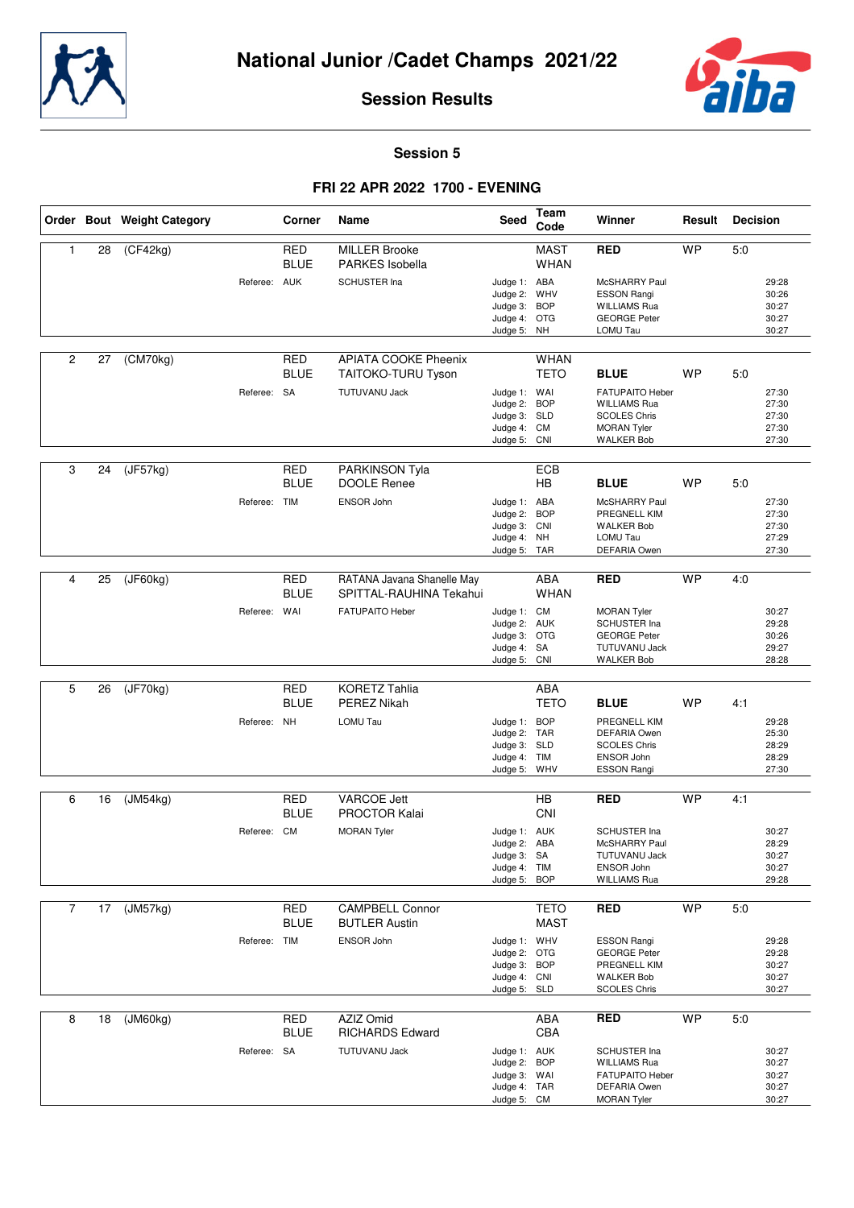



**Session 5**

## **FRI 22 APR 2022 1700 - EVENING**

|                |    | Order Bout Weight Category   |              | Corner                    | Name                                                  | <b>Seed</b>                                                                  | Team<br>Code               | Winner                                                                                                          | Result    | <b>Decision</b>                           |
|----------------|----|------------------------------|--------------|---------------------------|-------------------------------------------------------|------------------------------------------------------------------------------|----------------------------|-----------------------------------------------------------------------------------------------------------------|-----------|-------------------------------------------|
| 1              | 28 | $\overline{(CF42kg)}$        |              | <b>RED</b><br><b>BLUE</b> | <b>MILLER Brooke</b><br><b>PARKES</b> Isobella        |                                                                              | <b>MAST</b><br><b>WHAN</b> | <b>RED</b>                                                                                                      | <b>WP</b> | 5:0                                       |
|                |    |                              | Referee: AUK |                           | <b>SCHUSTER Ina</b>                                   | Judge 1: ABA<br>Judge 2: WHV<br>Judge 3:<br>Judge 4: OTG<br>Judge 5: NH      | <b>BOP</b>                 | McSHARRY Paul<br><b>ESSON Rangi</b><br><b>WILLIAMS Rua</b><br><b>GEORGE Peter</b><br>LOMU Tau                   |           | 29:28<br>30:26<br>30:27<br>30:27<br>30:27 |
| $\overline{c}$ | 27 | (CM70kg)                     |              | RED<br><b>BLUE</b>        | <b>APIATA COOKE Pheenix</b><br>TAITOKO-TURU Tyson     |                                                                              | <b>WHAN</b><br><b>TETO</b> | <b>BLUE</b>                                                                                                     | <b>WP</b> | 5:0                                       |
|                |    |                              | Referee: SA  |                           | <b>TUTUVANU Jack</b>                                  | Judge 1: WAI<br>Judge 2:<br>Judge 3: SLD<br>Judge 4: CM<br>Judge 5: CNI      | <b>BOP</b>                 | <b>FATUPAITO Heber</b><br><b>WILLIAMS Rua</b><br><b>SCOLES Chris</b><br><b>MORAN Tyler</b><br><b>WALKER Bob</b> |           | 27:30<br>27:30<br>27:30<br>27:30<br>27:30 |
| 3              | 24 | $\overline{(\text{J}F57kg)}$ |              | <b>RED</b><br><b>BLUE</b> | PARKINSON Tyla<br><b>DOOLE Renee</b>                  |                                                                              | ECB<br><b>HB</b>           | <b>BLUE</b>                                                                                                     | <b>WP</b> | 5:0                                       |
|                |    |                              | Referee:     | <b>TIM</b>                | ENSOR John                                            | Judge 1: ABA<br>Judge 2: BOP<br>Judge 3: CNI<br>Judge 4: NH<br>Judge 5: TAR  |                            | McSHARRY Paul<br>PREGNELL KIM<br><b>WALKER Bob</b><br>LOMU Tau<br><b>DEFARIA Owen</b>                           |           | 27:30<br>27:30<br>27:30<br>27:29<br>27:30 |
|                |    |                              |              |                           |                                                       |                                                                              |                            |                                                                                                                 |           |                                           |
| 4              | 25 | (JF60kg)                     |              | <b>RED</b><br><b>BLUE</b> | RATANA Javana Shanelle May<br>SPITTAL-RAUHINA Tekahui |                                                                              | <b>ABA</b><br><b>WHAN</b>  | <b>RED</b>                                                                                                      | <b>WP</b> | 4:0                                       |
|                |    |                              | Referee: WAI |                           | FATUPAITO Heber                                       | Judge 1: CM<br>Judge 2: AUK<br>Judge 3: OTG<br>Judge 4: SA<br>Judge 5: CNI   |                            | MORAN Tyler<br><b>SCHUSTER Ina</b><br><b>GEORGE Peter</b><br><b>TUTUVANU Jack</b><br><b>WALKER Bob</b>          |           | 30:27<br>29:28<br>30:26<br>29:27<br>28:28 |
|                |    |                              |              |                           |                                                       |                                                                              |                            |                                                                                                                 |           |                                           |
| 5              | 26 | $\overline{(JF70kg)}$        |              | <b>RED</b><br><b>BLUE</b> | <b>KORETZ Tahlia</b><br><b>PEREZ Nikah</b>            |                                                                              | <b>ABA</b><br><b>TETO</b>  | <b>BLUE</b>                                                                                                     | <b>WP</b> | 4:1                                       |
|                |    |                              | Referee: NH  |                           | LOMU Tau                                              | Judge 1: BOP<br>Judge 2: TAR<br>Judge 3: SLD<br>Judge 4: TIM<br>Judge 5:     | <b>WHV</b>                 | PREGNELL KIM<br><b>DEFARIA Owen</b><br><b>SCOLES Chris</b><br>ENSOR John<br><b>ESSON Rangi</b>                  |           | 29:28<br>25:30<br>28:29<br>28:29<br>27:30 |
| 6              | 16 | (JM54kg)                     |              | <b>RED</b>                | <b>VARCOE Jett</b>                                    |                                                                              | <b>HB</b>                  | <b>RED</b>                                                                                                      | <b>WP</b> | 4:1                                       |
|                |    |                              |              | <b>BLUE</b>               | <b>PROCTOR Kalai</b>                                  |                                                                              | CNI                        |                                                                                                                 |           |                                           |
|                |    |                              | Referee: CM  |                           | <b>MORAN Tyler</b>                                    | Judge 1: AUK<br>Judge 2: ABA<br>Judge 3: SA<br>Judge 4: TIM<br>Judge 5: BOP  |                            | <b>SCHUSTER Ina</b><br>McSHARRY Paul<br><b>TUTUVANU Jack</b><br>ENSOR John<br><b>WILLIAMS Rua</b>               |           | 30:27<br>28:29<br>30:27<br>30:27<br>29:28 |
| $\overline{7}$ | 17 | (JM57kg)                     |              | <b>RED</b>                | <b>CAMPBELL Connor</b>                                |                                                                              | <b>TETO</b>                | <b>RED</b>                                                                                                      | <b>WP</b> | 5:0                                       |
|                |    |                              |              | <b>BLUE</b>               | <b>BUTLER Austin</b>                                  |                                                                              | <b>MAST</b>                |                                                                                                                 |           |                                           |
|                |    |                              | Referee: TIM |                           | ENSOR John                                            | Judge 1: WHV<br>Judge 2: OTG<br>Judge 3: BOP<br>Judge 4: CNI<br>Judge 5: SLD |                            | <b>ESSON Rangi</b><br><b>GEORGE Peter</b><br>PREGNELL KIM<br><b>WALKER Bob</b><br><b>SCOLES Chris</b>           |           | 29:28<br>29:28<br>30:27<br>30:27<br>30:27 |
| 8              | 18 | (JM60kg)                     |              | <b>RED</b>                | AZIZ Omid                                             |                                                                              | <b>ABA</b>                 | <b>RED</b>                                                                                                      | <b>WP</b> | 5:0                                       |
|                |    |                              | Referee: SA  | <b>BLUE</b>               | <b>RICHARDS Edward</b><br>TUTUVANU Jack               | Judge 1: AUK<br>Judge 2:<br>Judge 3: WAI<br>Judge 4: TAR<br>Judge 5: CM      | CBA<br><b>BOP</b>          | SCHUSTER Ina<br><b>WILLIAMS Rua</b><br>FATUPAITO Heber<br><b>DEFARIA Owen</b><br><b>MORAN Tyler</b>             |           | 30:27<br>30:27<br>30:27<br>30:27<br>30:27 |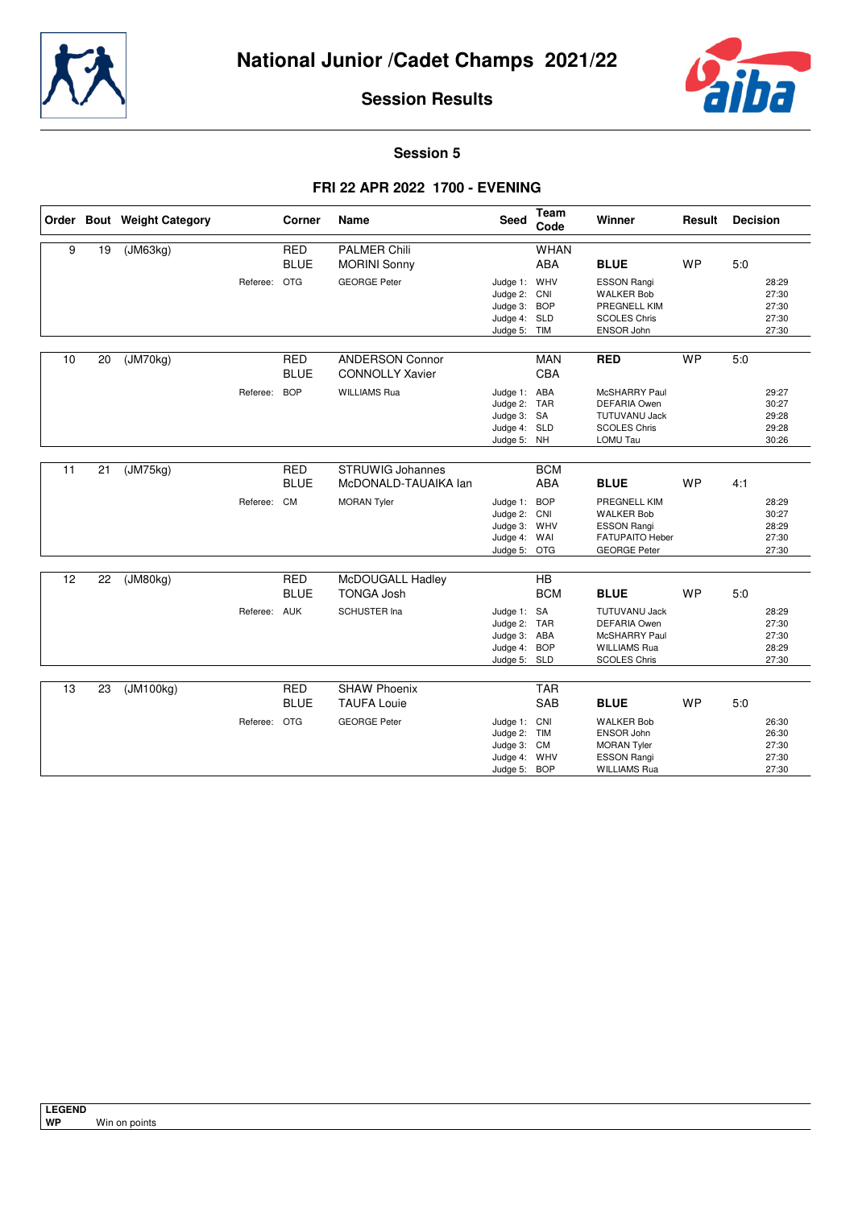



**Session 5**

## **FRI 22 APR 2022 1700 - EVENING**

|    |    | Order Bout Weight Category |              | Corner                    | <b>Name</b>                                      | <b>Seed</b>                                                                  | Team<br>Code             | Winner                                                                                                            | Result    | <b>Decision</b> |                                           |
|----|----|----------------------------|--------------|---------------------------|--------------------------------------------------|------------------------------------------------------------------------------|--------------------------|-------------------------------------------------------------------------------------------------------------------|-----------|-----------------|-------------------------------------------|
| 9  | 19 | (JM63kg)                   |              | <b>RED</b>                | <b>PALMER Chili</b>                              |                                                                              | <b>WHAN</b>              |                                                                                                                   |           |                 |                                           |
|    |    |                            |              | <b>BLUE</b>               | <b>MORINI Sonny</b>                              |                                                                              | <b>ABA</b>               | <b>BLUE</b>                                                                                                       | <b>WP</b> | 5:0             |                                           |
|    |    |                            | Referee: OTG |                           | <b>GEORGE Peter</b>                              | Judge 1: WHV<br>Judge 2: CNI<br>Judge 3: BOP<br>Judge 4: SLD<br>Judge 5: TIM |                          | <b>ESSON Rangi</b><br><b>WALKER Bob</b><br>PREGNELL KIM<br><b>SCOLES Chris</b><br>ENSOR John                      |           |                 | 28:29<br>27:30<br>27:30<br>27:30<br>27:30 |
|    |    |                            |              |                           |                                                  |                                                                              |                          |                                                                                                                   |           |                 |                                           |
| 10 | 20 | (JM70kg)                   |              | <b>RED</b><br><b>BLUE</b> | <b>ANDERSON Connor</b><br><b>CONNOLLY Xavier</b> |                                                                              | <b>MAN</b><br><b>CBA</b> | <b>RED</b>                                                                                                        | <b>WP</b> | 5.0             |                                           |
|    |    |                            | Referee:     | <b>BOP</b>                | <b>WILLIAMS Rua</b>                              | Judge 1: ABA<br>Judge 2: TAR<br>Judge 3: SA<br>Judge 4: SLD<br>Judge 5: NH   |                          | McSHARRY Paul<br><b>DEFARIA Owen</b><br><b>TUTUVANU Jack</b><br><b>SCOLES Chris</b><br>LOMU Tau                   |           |                 | 29:27<br>30:27<br>29:28<br>29:28<br>30:26 |
|    |    |                            |              |                           |                                                  |                                                                              |                          |                                                                                                                   |           |                 |                                           |
| 11 | 21 | (JM75kg)                   |              | <b>RED</b><br><b>BLUE</b> | STRUWIG Johannes<br>McDONALD-TAUAIKA lan         |                                                                              | <b>BCM</b><br><b>ABA</b> | <b>BLUE</b>                                                                                                       | <b>WP</b> | 4:1             |                                           |
|    |    |                            | Referee: CM  |                           | <b>MORAN Tyler</b>                               | Judge 1: BOP<br>Judge 2: CNI<br>Judge 3: WHV<br>Judge 4: WAI<br>Judge 5: OTG |                          | PREGNELL KIM<br><b>WALKER Bob</b><br><b>ESSON Rangi</b><br><b>FATUPAITO Heber</b><br><b>GEORGE Peter</b>          |           |                 | 28:29<br>30:27<br>28:29<br>27:30<br>27:30 |
|    |    |                            |              |                           |                                                  |                                                                              |                          |                                                                                                                   |           |                 |                                           |
| 12 | 22 | (JM80kg)                   |              | <b>RED</b><br><b>BLUE</b> | McDOUGALL Hadley<br><b>TONGA Josh</b>            |                                                                              | HB<br><b>BCM</b>         | <b>BLUE</b>                                                                                                       | <b>WP</b> | 5:0             |                                           |
|    |    |                            | Referee: AUK |                           | <b>SCHUSTER Ina</b>                              | Judge 1: SA<br>Judge 2: TAR<br>Judge 3: ABA<br>Judge 4: BOP<br>Judge 5: SLD  |                          | <b>TUTUVANU Jack</b><br><b>DEFARIA Owen</b><br><b>McSHARRY Paul</b><br><b>WILLIAMS Rua</b><br><b>SCOLES Chris</b> |           |                 | 28:29<br>27:30<br>27:30<br>28:29<br>27:30 |
|    |    |                            |              |                           |                                                  |                                                                              |                          |                                                                                                                   |           |                 |                                           |
| 13 | 23 | (JM100kg)                  |              | <b>RED</b><br><b>BLUE</b> | <b>SHAW Phoenix</b><br><b>TAUFA Louie</b>        |                                                                              | <b>TAR</b><br><b>SAB</b> | <b>BLUE</b>                                                                                                       | <b>WP</b> | 5:0             |                                           |
|    |    |                            | Referee: OTG |                           | <b>GEORGE Peter</b>                              | Judge 1: CNI<br>Judge 2: TIM<br>Judge 3: CM<br>Judge 4: WHV<br>Judge 5: BOP  |                          | <b>WALKER Bob</b><br>ENSOR John<br><b>MORAN Tyler</b><br><b>ESSON Rangi</b><br><b>WILLIAMS Rua</b>                |           |                 | 26:30<br>26:30<br>27:30<br>27:30<br>27:30 |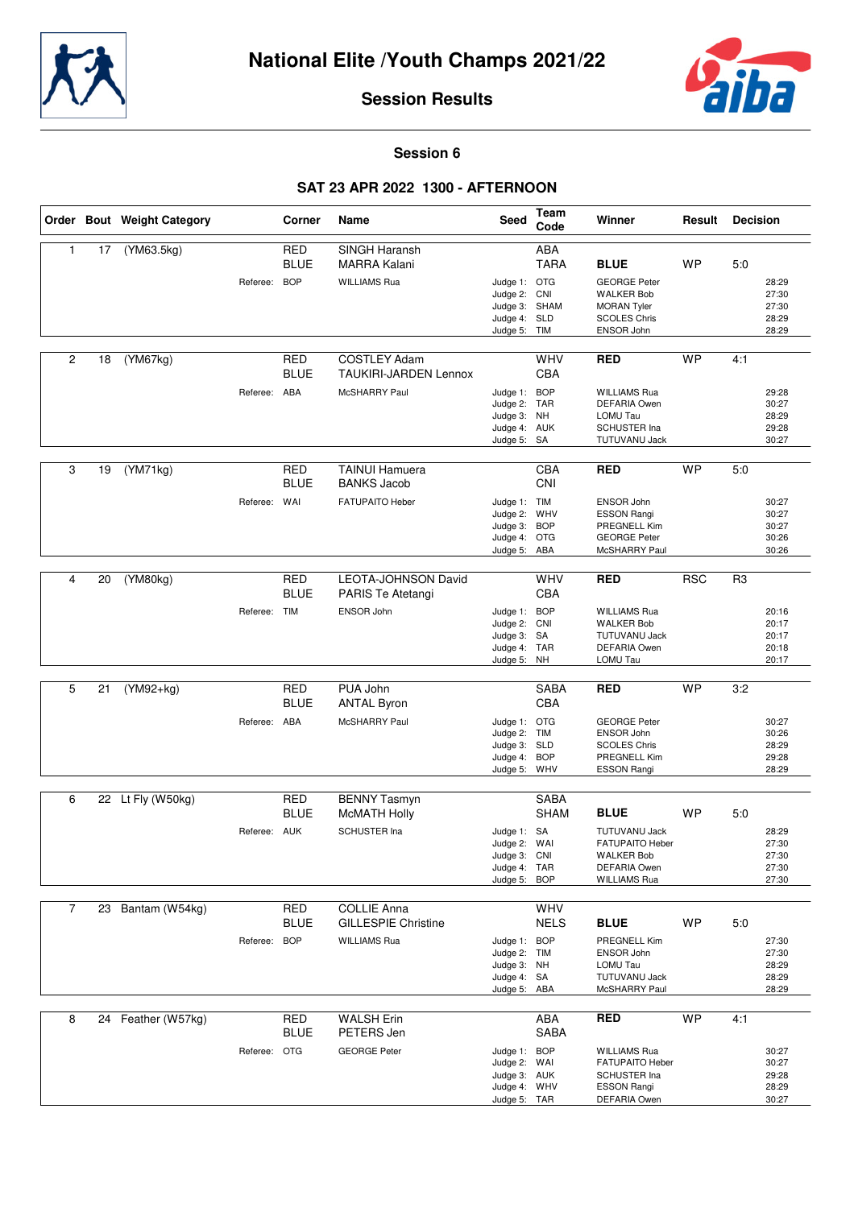



#### **Session 6**

## **SAT 23 APR 2022 1300 - AFTERNOON**

|                |    | Order Bout Weight Category |              | Corner                    | Name                                                | Seed                                                                          | Team<br>Code              | Winner                                                                                                     | Result     | <b>Decision</b>                           |
|----------------|----|----------------------------|--------------|---------------------------|-----------------------------------------------------|-------------------------------------------------------------------------------|---------------------------|------------------------------------------------------------------------------------------------------------|------------|-------------------------------------------|
| $\mathbf{1}$   | 17 | (YM63.5kg)                 |              | <b>RED</b><br><b>BLUE</b> | SINGH Haransh<br>MARRA Kalani                       |                                                                               | <b>ABA</b><br><b>TARA</b> | <b>BLUE</b>                                                                                                | <b>WP</b>  | 5:0                                       |
|                |    |                            | Referee:     | <b>BOP</b>                | <b>WILLIAMS Rua</b>                                 | Judge 1: OTG<br>Judge 2: CNI<br>Judge 3: SHAM<br>Judge 4: SLD<br>Judge 5: TIM |                           | <b>GEORGE Peter</b><br><b>WALKER Bob</b><br><b>MORAN Tyler</b><br><b>SCOLES Chris</b><br>ENSOR John        |            | 28:29<br>27:30<br>27:30<br>28:29<br>28:29 |
| $\overline{c}$ | 18 | (YM67kg)                   |              | <b>RED</b><br><b>BLUE</b> | <b>COSTLEY Adam</b><br><b>TAUKIRI-JARDEN Lennox</b> |                                                                               | WHV<br>CBA                | <b>RED</b>                                                                                                 | <b>WP</b>  | 4:1                                       |
|                |    |                            | Referee: ABA |                           | McSHARRY Paul                                       | Judge 1:<br>Judge 2: TAR<br>Judge 3: NH<br>Judge 4: AUK<br>Judge 5: SA        | <b>BOP</b>                | <b>WILLIAMS Rua</b><br><b>DEFARIA Owen</b><br>LOMU Tau<br><b>SCHUSTER Ina</b><br>TUTUVANU Jack             |            | 29:28<br>30:27<br>28:29<br>29:28<br>30:27 |
| 3              | 19 | (YM71kg)                   |              | <b>RED</b><br><b>BLUE</b> | <b>TAINUI Hamuera</b><br><b>BANKS Jacob</b>         |                                                                               | CBA<br>CNI                | <b>RED</b>                                                                                                 | <b>WP</b>  | 5:0                                       |
|                |    |                            | Referee:     | WAI                       | FATUPAITO Heber                                     | Judge 1: TIM<br>Judge 2: WHV<br>Judge 3: BOP<br>Judge 4: OTG<br>Judge 5: ABA  |                           | ENSOR John<br><b>ESSON Rangi</b><br><b>PREGNELL Kim</b><br><b>GEORGE Peter</b><br>McSHARRY Paul            |            | 30:27<br>30:27<br>30:27<br>30:26<br>30:26 |
| 4              | 20 | (YM80kg)                   |              | <b>RED</b><br><b>BLUE</b> | <b>LEOTA-JOHNSON David</b><br>PARIS Te Atetangi     |                                                                               | WHV<br>CBA                | <b>RED</b>                                                                                                 | <b>RSC</b> | R <sub>3</sub>                            |
|                |    |                            | Referee: TIM |                           | ENSOR John                                          | Judge 1: BOP<br>Judge 2:<br>Judge 3: SA<br>Judge 4: TAR<br>Judge 5: NH        | CNI                       | <b>WILLIAMS Rua</b><br><b>WALKER Bob</b><br><b>TUTUVANU Jack</b><br><b>DEFARIA Owen</b><br>LOMU Tau        |            | 20:16<br>20:17<br>20:17<br>20:18<br>20:17 |
|                |    |                            |              |                           |                                                     |                                                                               |                           |                                                                                                            |            |                                           |
| 5              | 21 | $(YM92+kq)$                |              | <b>RED</b><br><b>BLUE</b> | PUA John<br><b>ANTAL Byron</b>                      |                                                                               | <b>SABA</b><br>CBA        | <b>RED</b>                                                                                                 | <b>WP</b>  | 3:2                                       |
|                |    |                            | Referee: ABA |                           | McSHARRY Paul                                       | Judge 1: OTG<br>Judge 2: TIM<br>Judge 3: SLD<br>Judge 4:<br>Judge 5: WHV      | <b>BOP</b>                | <b>GEORGE Peter</b><br>ENSOR John<br><b>SCOLES Chris</b><br>PREGNELL Kim<br><b>ESSON Rangi</b>             |            | 30:27<br>30:26<br>28:29<br>29:28<br>28:29 |
| 6              |    | 22 Lt Fly (W50kg)          |              | <b>RED</b>                | <b>BENNY Tasmyn</b>                                 |                                                                               | <b>SABA</b>               |                                                                                                            |            |                                           |
|                |    |                            |              | <b>BLUE</b>               | <b>McMATH Holly</b>                                 |                                                                               | <b>SHAM</b>               | <b>BLUE</b>                                                                                                | <b>WP</b>  | 5:0                                       |
|                |    |                            | Referee: AUK |                           | <b>SCHUSTER Ina</b>                                 | Judge 1: SA<br>Judge 2: WAI<br>Judge 3: CNI<br>Judge 4: TAR<br>Judge 5:       | <b>BOP</b>                | <b>TUTUVANU Jack</b><br>FATUPAITO Heber<br><b>WALKER Bob</b><br><b>DEFARIA Owen</b><br><b>WILLIAMS Rua</b> |            | 28:29<br>27:30<br>27:30<br>27:30<br>27:30 |
| $\overline{7}$ |    | 23 Bantam (W54kg)          |              | RED                       | <b>COLLIE Anna</b>                                  |                                                                               | WHV                       |                                                                                                            |            |                                           |
|                |    |                            |              | <b>BLUE</b>               | <b>GILLESPIE Christine</b>                          |                                                                               | <b>NELS</b>               | <b>BLUE</b>                                                                                                | <b>WP</b>  | 5:0                                       |
|                |    |                            | Referee:     | <b>BOP</b>                | <b>WILLIAMS Rua</b>                                 | Judge 1: BOP<br>Judge 2: TIM<br>Judge 3: NH<br>Judge 4: SA<br>Judge 5: ABA    |                           | PREGNELL Kim<br>ENSOR John<br>LOMU Tau<br>TUTUVANU Jack<br>McSHARRY Paul                                   |            | 27:30<br>27:30<br>28:29<br>28:29<br>28:29 |
| 8              |    | 24 Feather (W57kg)         |              | RED                       | <b>WALSH Erin</b>                                   |                                                                               | ABA                       | <b>RED</b>                                                                                                 | <b>WP</b>  | 4:1                                       |
|                |    |                            | Referee: OTG | <b>BLUE</b>               | PETERS Jen<br><b>GEORGE Peter</b>                   | Judge 1: BOP<br>Judge 2: WAI<br>Judge 3: AUK<br>Judge 4: WHV<br>Judge 5: TAR  | SABA                      | <b>WILLIAMS Rua</b><br><b>FATUPAITO Heber</b><br>SCHUSTER Ina<br><b>ESSON Rangi</b><br>DEFARIA Owen        |            | 30:27<br>30:27<br>29:28<br>28:29<br>30:27 |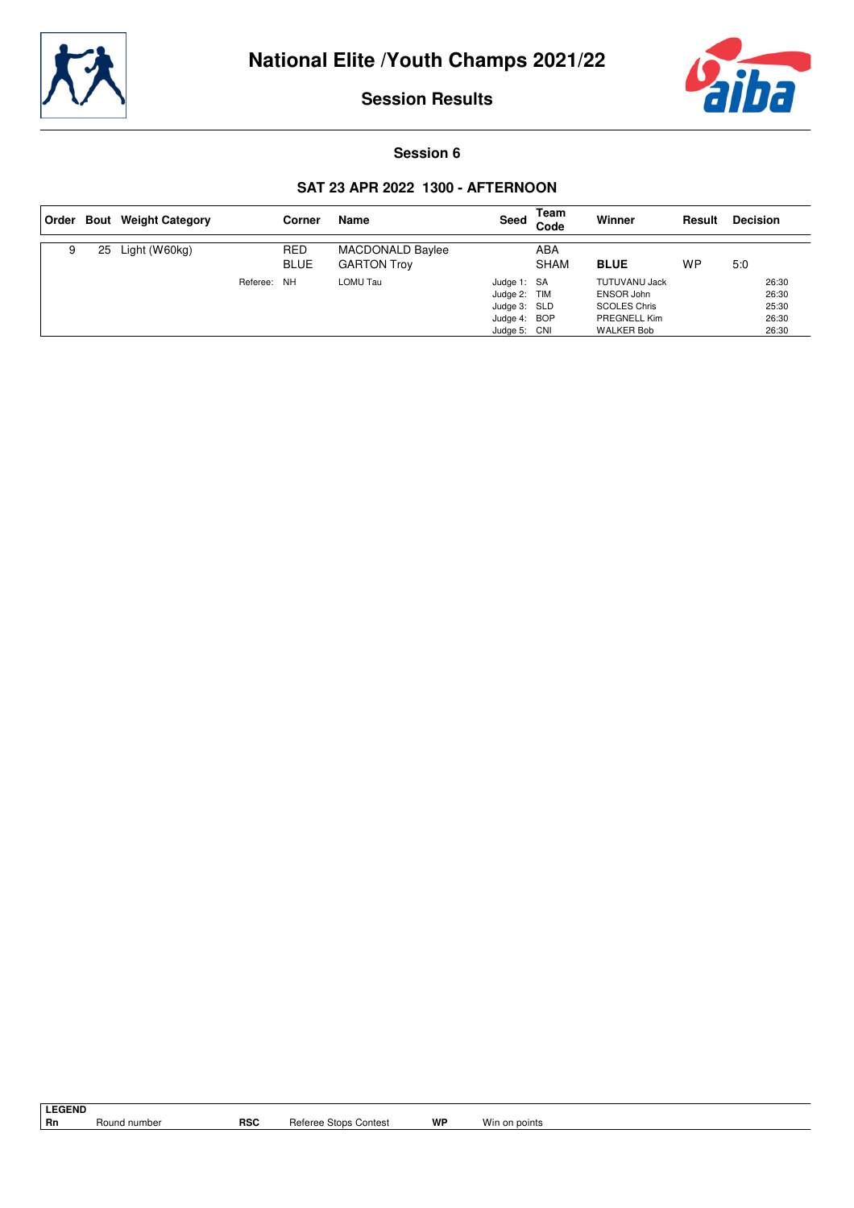



**Session 6**

## **SAT 23 APR 2022 1300 - AFTERNOON**

|   |    | Order Bout Weight Category |             | Corner                    | Name                                   | Seed                                                                        | Team<br>Code       | Winner                                                                                  | Result | <b>Decision</b>                           |
|---|----|----------------------------|-------------|---------------------------|----------------------------------------|-----------------------------------------------------------------------------|--------------------|-----------------------------------------------------------------------------------------|--------|-------------------------------------------|
| 9 | 25 | Light (W60kg)              |             | <b>RED</b><br><b>BLUE</b> | MACDONALD Baylee<br><b>GARTON Troy</b> |                                                                             | ABA<br><b>SHAM</b> | <b>BLUE</b>                                                                             | WP     | 5:0                                       |
|   |    |                            | Referee: NH |                           | LOMU Tau                               | Judge 1: SA<br>Judge 2: TIM<br>Judge 3: SLD<br>Judge 4: BOP<br>Judge 5: CNI |                    | TUTUVANU Jack<br>ENSOR John<br><b>SCOLES Chris</b><br>PREGNELL Kim<br><b>WALKER Bob</b> |        | 26:30<br>26:30<br>25:30<br>26:30<br>26:30 |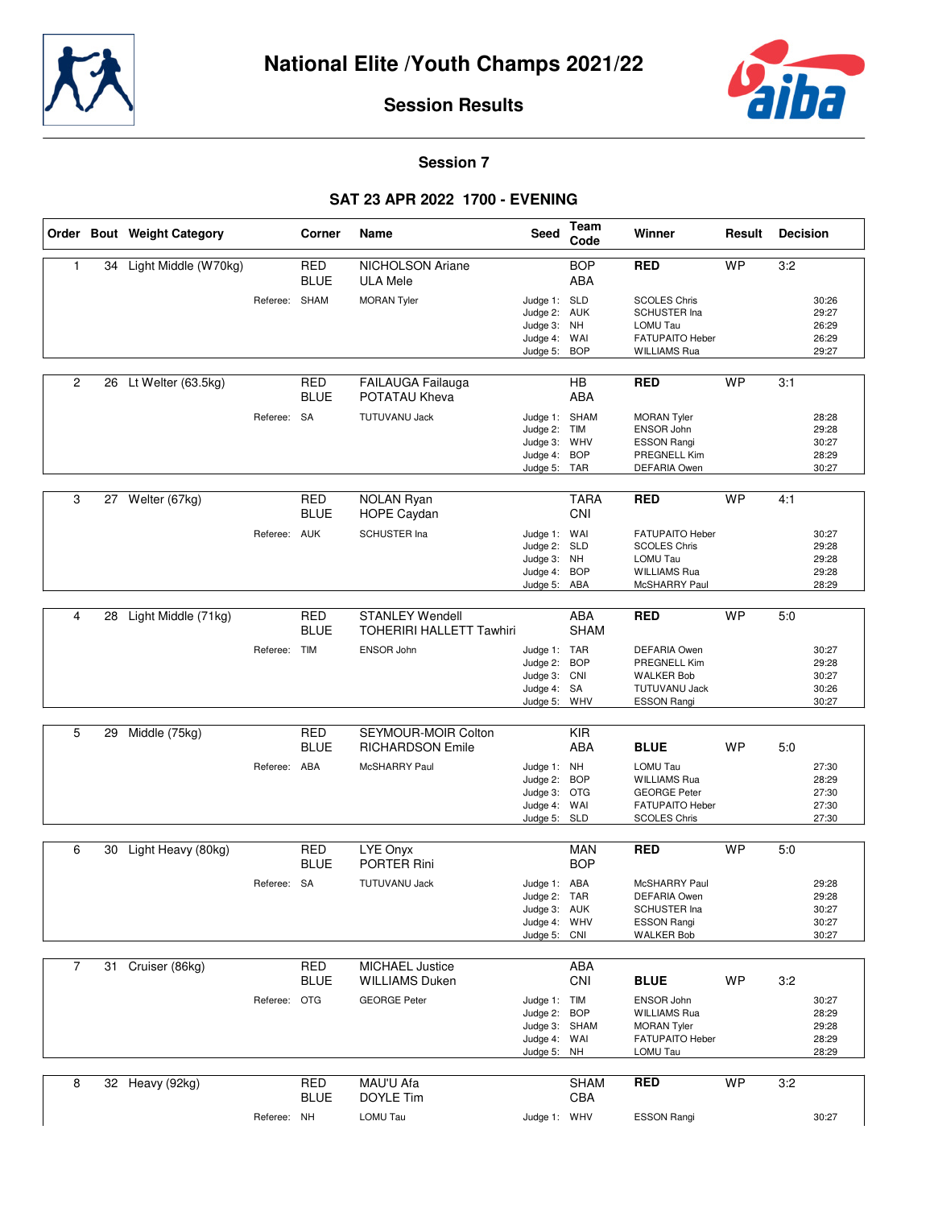



#### **Session 7**

#### **SAT 23 APR 2022 1700 - EVENING**

|                |    | Order Bout Weight Category |               | Corner                    | Name                                                      | Seed                                                                          | Team<br>Code              | Winner                                                                                                   | Result    | <b>Decision</b>                           |  |
|----------------|----|----------------------------|---------------|---------------------------|-----------------------------------------------------------|-------------------------------------------------------------------------------|---------------------------|----------------------------------------------------------------------------------------------------------|-----------|-------------------------------------------|--|
| $\mathbf{1}$   | 34 | Light Middle (W70kg)       |               | <b>RED</b><br><b>BLUE</b> | <b>NICHOLSON Ariane</b><br><b>ULA Mele</b>                |                                                                               | <b>BOP</b><br><b>ABA</b>  | <b>RED</b>                                                                                               | WP        | 3:2                                       |  |
|                |    |                            | Referee: SHAM |                           | <b>MORAN Tyler</b>                                        | Judge 1: SLD<br>Judge 2: AUK<br>Judge 3:<br>Judge 4: WAI<br>Judge 5:          | <b>NH</b><br><b>BOP</b>   | <b>SCOLES Chris</b><br>SCHUSTER Ina<br>LOMU Tau<br>FATUPAITO Heber<br><b>WILLIAMS Rua</b>                |           | 30:26<br>29:27<br>26:29<br>26:29<br>29:27 |  |
|                |    |                            |               |                           |                                                           |                                                                               |                           |                                                                                                          |           |                                           |  |
| $\overline{2}$ | 26 | Lt Welter (63.5kg)         |               | RED<br><b>BLUE</b>        | FAILAUGA Failauga<br>POTATAU Kheva                        |                                                                               | <b>HB</b><br><b>ABA</b>   | <b>RED</b>                                                                                               | WP        | 3:1                                       |  |
|                |    |                            | Referee: SA   |                           | <b>TUTUVANU Jack</b>                                      | Judge 1: SHAM<br>Judge 2: TIM<br>Judge 3: WHV<br>Judge 4: BOP<br>Judge 5: TAR |                           | <b>MORAN Tyler</b><br><b>ENSOR John</b><br><b>ESSON Rangi</b><br>PREGNELL Kim<br><b>DEFARIA Owen</b>     |           | 28:28<br>29:28<br>30:27<br>28:29<br>30:27 |  |
|                |    |                            |               |                           |                                                           |                                                                               |                           |                                                                                                          |           |                                           |  |
| 3              |    | 27 Welter (67kg)           |               | <b>RED</b><br><b>BLUE</b> | <b>NOLAN Ryan</b><br>HOPE Caydan                          |                                                                               | <b>TARA</b><br>CNI        | <b>RED</b>                                                                                               | <b>WP</b> | 4:1                                       |  |
|                |    |                            | Referee: AUK  |                           | SCHUSTER Ina                                              | Judge 1: WAI<br>Judge 2: SLD<br>Judge 3: NH<br>Judge 4: BOP<br>Judge 5: ABA   |                           | <b>FATUPAITO Heber</b><br><b>SCOLES Chris</b><br><b>LOMU Tau</b><br><b>WILLIAMS Rua</b><br>McSHARRY Paul |           | 30:27<br>29:28<br>29:28<br>29:28<br>28:29 |  |
|                |    |                            |               |                           |                                                           |                                                                               |                           |                                                                                                          |           |                                           |  |
| 4              | 28 | Light Middle (71kg)        |               | <b>RED</b><br><b>BLUE</b> | <b>STANLEY Wendell</b><br><b>TOHERIRI HALLETT Tawhiri</b> |                                                                               | <b>ABA</b><br><b>SHAM</b> | <b>RED</b>                                                                                               | <b>WP</b> | 5:0                                       |  |
|                |    |                            | Referee: TIM  |                           | ENSOR John                                                | Judge 1: TAR<br>Judge 2: BOP<br>Judge 3: CNI<br>Judge 4: SA<br>Judge 5: WHV   |                           | DEFARIA Owen<br>PREGNELL Kim<br><b>WALKER Bob</b><br>TUTUVANU Jack<br><b>ESSON Rangi</b>                 |           | 30:27<br>29:28<br>30:27<br>30:26<br>30:27 |  |
| 5              | 29 | Middle (75kg)              |               | <b>RED</b><br><b>BLUE</b> | SEYMOUR-MOIR Colton<br><b>RICHARDSON Emile</b>            |                                                                               | <b>KIR</b><br><b>ABA</b>  | <b>BLUE</b>                                                                                              | WP        | 5:0                                       |  |
|                |    |                            | Referee: ABA  |                           | McSHARRY Paul                                             | Judge 1: NH<br>Judge 2: BOP<br>Judge 3: OTG<br>Judge 4: WAI<br>Judge 5: SLD   |                           | LOMU Tau<br><b>WILLIAMS Rua</b><br><b>GEORGE Peter</b><br>FATUPAITO Heber<br><b>SCOLES Chris</b>         |           | 27:30<br>28:29<br>27:30<br>27:30<br>27:30 |  |
| 6              | 30 | Light Heavy (80kg)         |               | RED<br><b>BLUE</b>        | LYE Onyx<br><b>PORTER Rini</b>                            |                                                                               | <b>MAN</b><br><b>BOP</b>  | <b>RED</b>                                                                                               | WP        | 5:0                                       |  |
|                |    |                            | Referee: SA   |                           | <b>TUTUVANU Jack</b>                                      | Judge 1: ABA<br>Judge 2: TAR<br>Judge 3: AUK<br>Judge 4: WHV<br>Judge 5: CNI  |                           | McSHARRY Paul<br><b>DEFARIA Owen</b><br><b>SCHUSTER Ina</b><br><b>ESSON Rangi</b><br><b>WALKER Bob</b>   |           | 29:28<br>29:28<br>30:27<br>30:27<br>30:27 |  |
| $\overline{7}$ |    | 31 Cruiser (86kg)          |               | RED                       | <b>MICHAEL Justice</b>                                    |                                                                               | ABA                       |                                                                                                          |           |                                           |  |
|                |    |                            |               | <b>BLUE</b>               | <b>WILLIAMS Duken</b>                                     |                                                                               | CNI                       | <b>BLUE</b>                                                                                              | WP        | 3:2                                       |  |
|                |    |                            | Referee: OTG  |                           | <b>GEORGE Peter</b>                                       | Judge 1: TIM<br>Judge 2: BOP<br>Judge 3: SHAM<br>Judge 4: WAI<br>Judge 5: NH  |                           | ENSOR John<br><b>WILLIAMS Rua</b><br><b>MORAN Tyler</b><br>FATUPAITO Heber<br>LOMU Tau                   |           | 30:27<br>28:29<br>29:28<br>28:29<br>28:29 |  |
| 8              |    | 32 Heavy (92kg)            |               | <b>RED</b>                | MAU'U Afa                                                 |                                                                               | <b>SHAM</b>               | <b>RED</b>                                                                                               | <b>WP</b> | 3:2                                       |  |
|                |    |                            |               | <b>BLUE</b>               | DOYLE Tim                                                 |                                                                               | CBA                       |                                                                                                          |           |                                           |  |
|                |    |                            | Referee: NH   |                           | LOMU Tau                                                  | Judge 1: WHV                                                                  |                           | <b>ESSON Rangi</b>                                                                                       |           | 30:27                                     |  |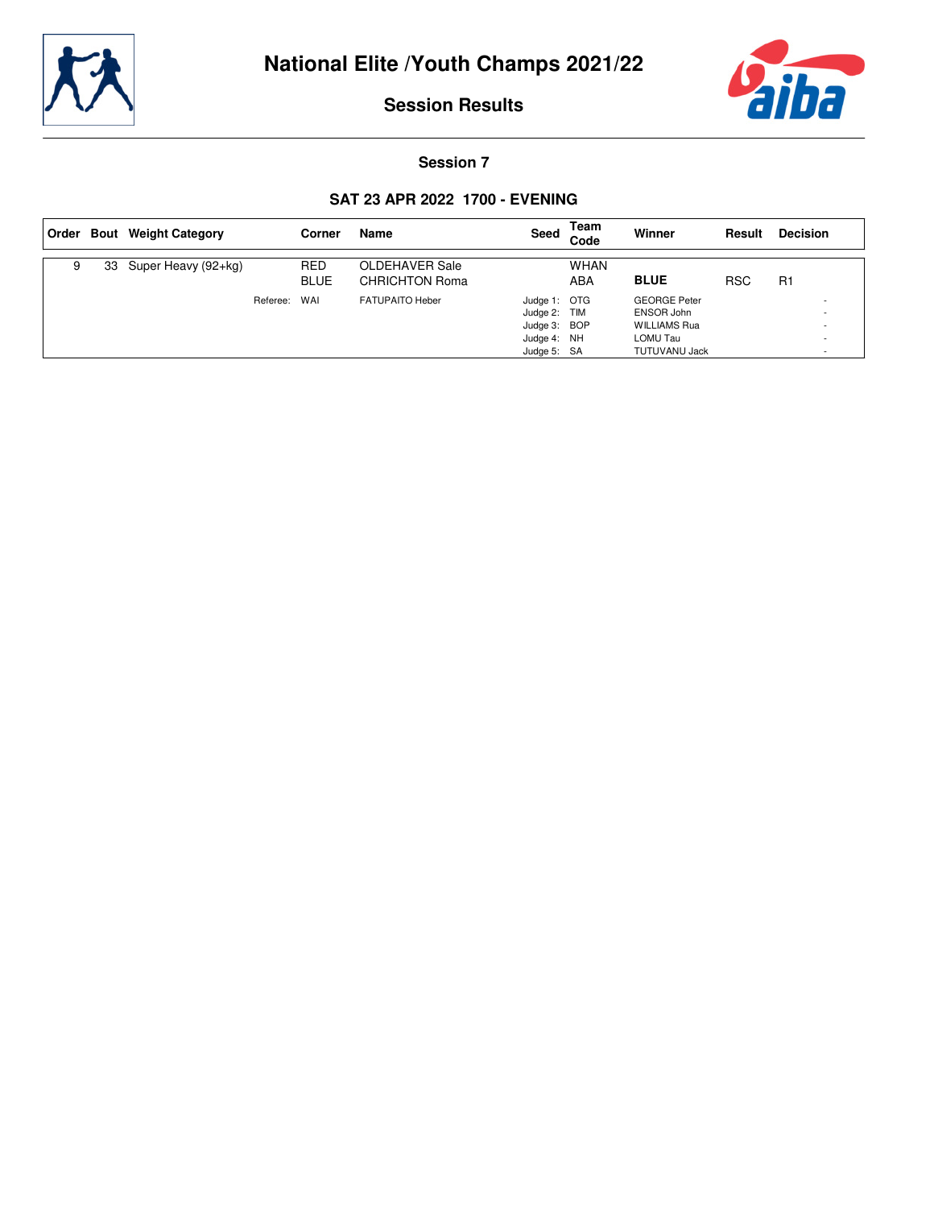



#### **Session 7**

#### **SAT 23 APR 2022 1700 - EVENING**

| Order |    | <b>Bout</b> Weight Category |          | Corner                    | Name                                    | Seed                                                                       | Team<br>Code       | Winner                                                                                       | Result     | <b>Decision</b> |
|-------|----|-----------------------------|----------|---------------------------|-----------------------------------------|----------------------------------------------------------------------------|--------------------|----------------------------------------------------------------------------------------------|------------|-----------------|
| 9     | 33 | Super Heavy (92+kg)         |          | <b>RED</b><br><b>BLUE</b> | OLDEHAVER Sale<br><b>CHRICHTON Roma</b> |                                                                            | <b>WHAN</b><br>ABA | <b>BLUE</b>                                                                                  | <b>RSC</b> | R1              |
|       |    |                             | Referee: | WAI                       | <b>FATUPAITO Heber</b>                  | Judge 1: OTG<br>Judge 2: TIM<br>Judge 3: BOP<br>Judge 4: NH<br>Judge 5: SA |                    | <b>GEORGE Peter</b><br>ENSOR John<br><b>WILLIAMS Rua</b><br>LOMU Tau<br><b>TUTUVANU Jack</b> |            |                 |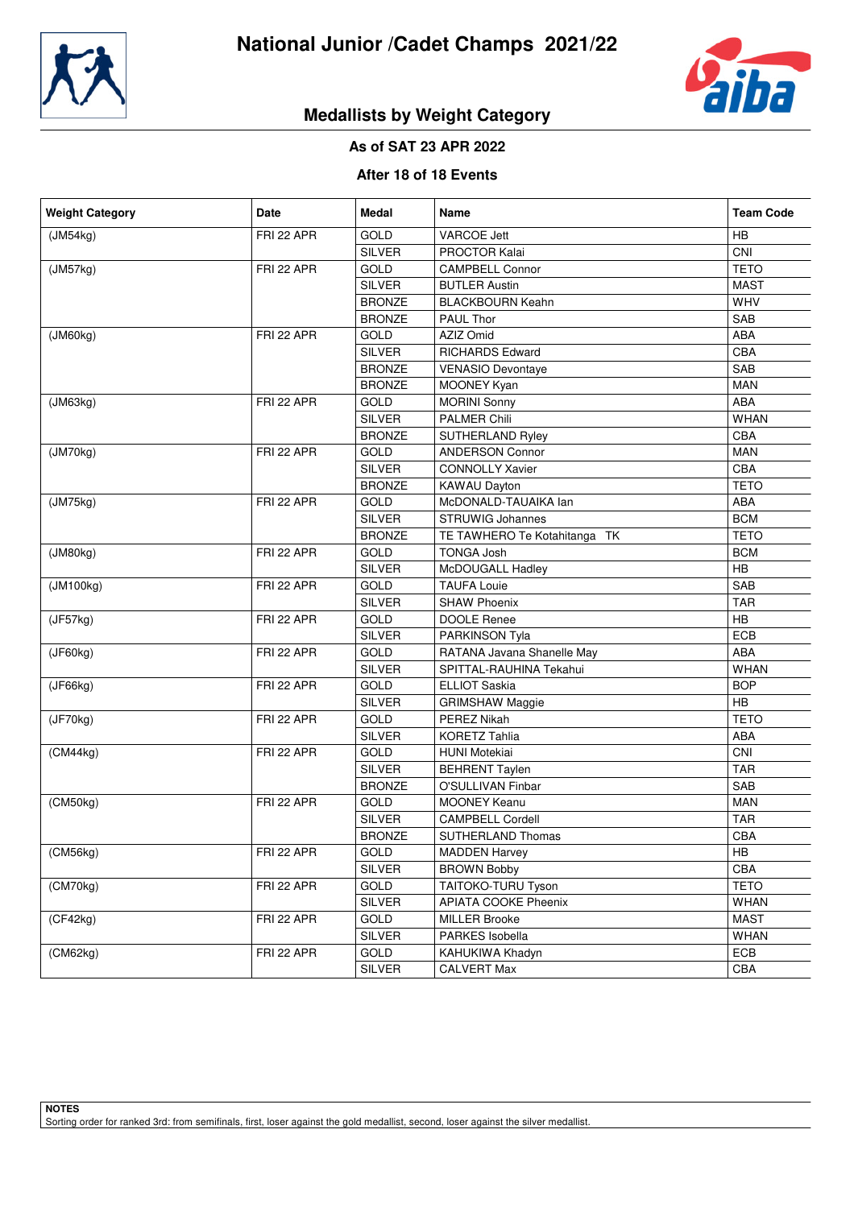



# **Medallists by Weight Category**

## **As of SAT 23 APR 2022**

#### **After 18 of 18 Events**

| <b>Weight Category</b> | Date       | <b>Medal</b>                      | <b>Name</b>                  | <b>Team Code</b> |
|------------------------|------------|-----------------------------------|------------------------------|------------------|
| (JM54kg)               | FRI 22 APR | <b>GOLD</b>                       | <b>VARCOE Jett</b>           | HB               |
|                        |            | <b>SILVER</b>                     | <b>PROCTOR Kalai</b>         | CNI              |
| (JM57kg)               | FRI 22 APR | GOLD                              | <b>CAMPBELL Connor</b>       | <b>TETO</b>      |
|                        |            | <b>SILVER</b>                     | <b>BUTLER Austin</b>         | <b>MAST</b>      |
|                        |            | <b>BRONZE</b>                     | <b>BLACKBOURN Keahn</b>      | WHV              |
|                        |            | <b>BRONZE</b>                     | PAUL Thor                    | SAB              |
| (JM60kg)               | FRI 22 APR | GOLD                              | AZIZ Omid                    | ABA              |
|                        |            | <b>SILVER</b>                     | <b>RICHARDS Edward</b>       | CBA              |
|                        |            | <b>BRONZE</b>                     | <b>VENASIO Devontaye</b>     | SAB              |
|                        |            | <b>BRONZE</b>                     | MOONEY Kyan                  | <b>MAN</b>       |
| (JM63kg)               | FRI 22 APR | GOLD                              | <b>MORINI Sonny</b>          | ABA              |
|                        |            | <b>SILVER</b>                     | PALMER Chili                 | <b>WHAN</b>      |
|                        |            | <b>BRONZE</b>                     | SUTHERLAND Ryley             | CBA              |
| (JM70kg)               | FRI 22 APR | GOLD                              | <b>ANDERSON Connor</b>       | <b>MAN</b>       |
|                        |            | <b>SILVER</b>                     | <b>CONNOLLY Xavier</b>       | CBA              |
|                        |            | <b>BRONZE</b>                     | KAWAU Dayton                 | <b>TETO</b>      |
| (JM75kg)               | FRI 22 APR | <b>GOLD</b>                       | McDONALD-TAUAIKA lan         | ABA              |
|                        |            | <b>SILVER</b>                     | <b>STRUWIG Johannes</b>      | <b>BCM</b>       |
|                        |            | <b>BRONZE</b>                     | TE TAWHERO Te Kotahitanga TK | <b>TETO</b>      |
| (JM80kg)               | FRI 22 APR | GOLD                              | <b>TONGA Josh</b>            | <b>BCM</b>       |
|                        |            | <b>SILVER</b>                     | McDOUGALL Hadley             | HB               |
| (JM100kg)              | FRI 22 APR | GOLD                              | <b>TAUFA Louie</b>           | SAB              |
|                        |            | <b>SILVER</b>                     | <b>SHAW Phoenix</b>          | <b>TAR</b>       |
| (JF57kg)               | FRI 22 APR | <b>GOLD</b><br><b>DOOLE Renee</b> |                              | HB               |
|                        |            | <b>SILVER</b>                     | PARKINSON Tyla               | ECB              |
| (JF60kg)               | FRI 22 APR | GOLD                              | RATANA Javana Shanelle May   | ABA              |
|                        |            | <b>SILVER</b>                     | SPITTAL-RAUHINA Tekahui      | <b>WHAN</b>      |
| (JF66kg)               | FRI 22 APR | GOLD                              | <b>ELLIOT Saskia</b>         | <b>BOP</b>       |
|                        |            | <b>SILVER</b>                     | <b>GRIMSHAW Maggie</b>       | HB               |
| (JF70kg)               | FRI 22 APR | GOLD                              | PEREZ Nikah                  | <b>TETO</b>      |
|                        |            | <b>SILVER</b>                     | <b>KORETZ Tahlia</b>         | ABA              |
| (CM44kg)               | FRI 22 APR | GOLD                              | <b>HUNI Motekiai</b>         | CNI              |
|                        |            | <b>SILVER</b>                     | <b>BEHRENT Taylen</b>        | <b>TAR</b>       |
|                        |            | <b>BRONZE</b>                     | O'SULLIVAN Finbar            | SAB              |
| (CM50kg)               | FRI 22 APR | GOLD                              | <b>MOONEY Keanu</b>          | <b>MAN</b>       |
|                        |            | <b>SILVER</b>                     | <b>CAMPBELL Cordell</b>      | <b>TAR</b>       |
|                        |            | <b>BRONZE</b>                     | SUTHERLAND Thomas            | CBA              |
| (CM56kg)               | FRI 22 APR | GOLD                              | <b>MADDEN Harvey</b>         | HB               |
|                        |            | SILVER                            | <b>BROWN Bobby</b>           | CBA              |
| (CM70kg)               | FRI 22 APR | GOLD                              | TAITOKO-TURU Tyson           | <b>TETO</b>      |
|                        |            | SILVER                            | <b>APIATA COOKE Pheenix</b>  | <b>WHAN</b>      |
| (CF42kq)               | FRI 22 APR | GOLD                              | <b>MILLER Brooke</b>         | <b>MAST</b>      |
|                        |            | SILVER                            | PARKES Isobella              | <b>WHAN</b>      |
| (CM62kg)               | FRI 22 APR | <b>GOLD</b>                       | KAHUKIWA Khadyn              | ECB              |
|                        |            | SILVER                            | <b>CALVERT Max</b>           | CBA              |